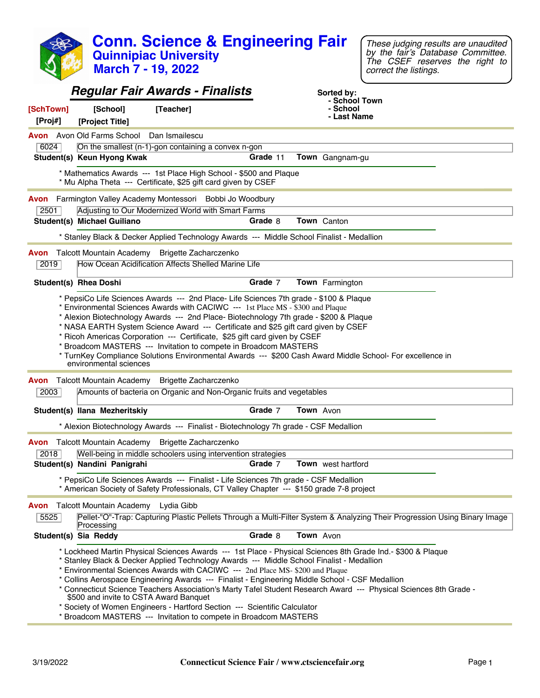|                      |                                                   | <b>Conn. Science &amp; Engineering Fair</b><br><b>Quinnipiac University</b><br><b>March 7 - 19, 2022</b>                                                                                                                                                                                                                                                                                                                       |          |             |                             | These judging results are unaudited<br>by the fair's Database Committee.<br>The CSEF reserves the right to<br>correct the listings.                                                                                              |
|----------------------|---------------------------------------------------|--------------------------------------------------------------------------------------------------------------------------------------------------------------------------------------------------------------------------------------------------------------------------------------------------------------------------------------------------------------------------------------------------------------------------------|----------|-------------|-----------------------------|----------------------------------------------------------------------------------------------------------------------------------------------------------------------------------------------------------------------------------|
|                      |                                                   | <b>Regular Fair Awards - Finalists</b>                                                                                                                                                                                                                                                                                                                                                                                         |          |             | Sorted by:<br>- School Town |                                                                                                                                                                                                                                  |
| [SchTown]<br>[Proj#] | [School]<br>[Project Title]                       | [Teacher]                                                                                                                                                                                                                                                                                                                                                                                                                      |          |             | - School<br>- Last Name     |                                                                                                                                                                                                                                  |
|                      | <b>Avon</b> Avon Old Farms School Dan Ismailescu  |                                                                                                                                                                                                                                                                                                                                                                                                                                |          |             |                             |                                                                                                                                                                                                                                  |
| 6024                 | Student(s) Keun Hyong Kwak                        | On the smallest (n-1)-gon containing a convex n-gon                                                                                                                                                                                                                                                                                                                                                                            | Grade 11 |             | Town Gangnam-gu             |                                                                                                                                                                                                                                  |
|                      |                                                   | * Mathematics Awards --- 1st Place High School - \$500 and Plaque                                                                                                                                                                                                                                                                                                                                                              |          |             |                             |                                                                                                                                                                                                                                  |
|                      |                                                   | * Mu Alpha Theta --- Certificate, \$25 gift card given by CSEF                                                                                                                                                                                                                                                                                                                                                                 |          |             |                             |                                                                                                                                                                                                                                  |
| 2501                 |                                                   | Avon Farmington Valley Academy Montessori Bobbi Jo Woodbury<br>Adjusting to Our Modernized World with Smart Farms                                                                                                                                                                                                                                                                                                              |          |             |                             |                                                                                                                                                                                                                                  |
|                      | Student(s) Michael Guiliano                       |                                                                                                                                                                                                                                                                                                                                                                                                                                | Grade 8  | Town Canton |                             |                                                                                                                                                                                                                                  |
|                      |                                                   | * Stanley Black & Decker Applied Technology Awards --- Middle School Finalist - Medallion                                                                                                                                                                                                                                                                                                                                      |          |             |                             |                                                                                                                                                                                                                                  |
|                      |                                                   | Avon Talcott Mountain Academy Brigette Zacharczenko                                                                                                                                                                                                                                                                                                                                                                            |          |             |                             |                                                                                                                                                                                                                                  |
| 2019                 |                                                   | How Ocean Acidification Affects Shelled Marine Life                                                                                                                                                                                                                                                                                                                                                                            |          |             |                             |                                                                                                                                                                                                                                  |
|                      | <b>Student(s) Rhea Doshi</b>                      |                                                                                                                                                                                                                                                                                                                                                                                                                                | Grade 7  |             | Town Farmington             |                                                                                                                                                                                                                                  |
|                      | environmental sciences                            | * NASA EARTH System Science Award --- Certificate and \$25 gift card given by CSEF<br>* Ricoh Americas Corporation --- Certificate, \$25 gift card given by CSEF<br>* Broadcom MASTERS --- Invitation to compete in Broadcom MASTERS                                                                                                                                                                                           |          |             |                             | * TurnKey Compliance Solutions Environmental Awards --- \$200 Cash Award Middle School- For excellence in                                                                                                                        |
|                      |                                                   | Avon Talcott Mountain Academy Brigette Zacharczenko                                                                                                                                                                                                                                                                                                                                                                            |          |             |                             |                                                                                                                                                                                                                                  |
| 2003                 |                                                   | Amounts of bacteria on Organic and Non-Organic fruits and vegetables                                                                                                                                                                                                                                                                                                                                                           |          |             |                             |                                                                                                                                                                                                                                  |
|                      | Student(s) Ilana Mezheritskiy                     |                                                                                                                                                                                                                                                                                                                                                                                                                                | Grade 7  | Town Avon   |                             |                                                                                                                                                                                                                                  |
|                      |                                                   | * Alexion Biotechnology Awards --- Finalist - Biotechnology 7h grade - CSF Medallion                                                                                                                                                                                                                                                                                                                                           |          |             |                             |                                                                                                                                                                                                                                  |
|                      |                                                   | <b>Avon</b> Talcott Mountain Academy Brigette Zacharczenko                                                                                                                                                                                                                                                                                                                                                                     |          |             |                             |                                                                                                                                                                                                                                  |
| 2018                 | Student(s) Nandini Panigrahi                      | Well-being in middle schoolers using intervention strategies                                                                                                                                                                                                                                                                                                                                                                   | Grade 7  |             | Town west hartford          |                                                                                                                                                                                                                                  |
|                      |                                                   | * PepsiCo Life Sciences Awards --- Finalist - Life Sciences 7th grade - CSF Medallion<br>* American Society of Safety Professionals, CT Valley Chapter --- \$150 grade 7-8 project                                                                                                                                                                                                                                             |          |             |                             |                                                                                                                                                                                                                                  |
| Avon<br>5525         | Talcott Mountain Academy Lydia Gibb<br>Processing |                                                                                                                                                                                                                                                                                                                                                                                                                                |          |             |                             | Pellet-"O"-Trap: Capturing Plastic Pellets Through a Multi-Filter System & Analyzing Their Progression Using Binary Image                                                                                                        |
|                      | Student(s) Sia Reddy                              |                                                                                                                                                                                                                                                                                                                                                                                                                                | Grade 8  | Town Avon   |                             |                                                                                                                                                                                                                                  |
|                      | \$500 and invite to CSTA Award Banquet            | * Stanley Black & Decker Applied Technology Awards --- Middle School Finalist - Medallion<br>* Environmental Sciences Awards with CACIWC --- 2nd Place MS-\$200 and Plaque<br>* Collins Aerospace Engineering Awards --- Finalist - Engineering Middle School - CSF Medallion<br>* Society of Women Engineers - Hartford Section --- Scientific Calculator<br>* Broadcom MASTERS --- Invitation to compete in Broadcom MASTERS |          |             |                             | * Lockheed Martin Physical Sciences Awards --- 1st Place - Physical Sciences 8th Grade Ind.- \$300 & Plaque<br>* Connecticut Science Teachers Association's Marty Tafel Student Research Award --- Physical Sciences 8th Grade - |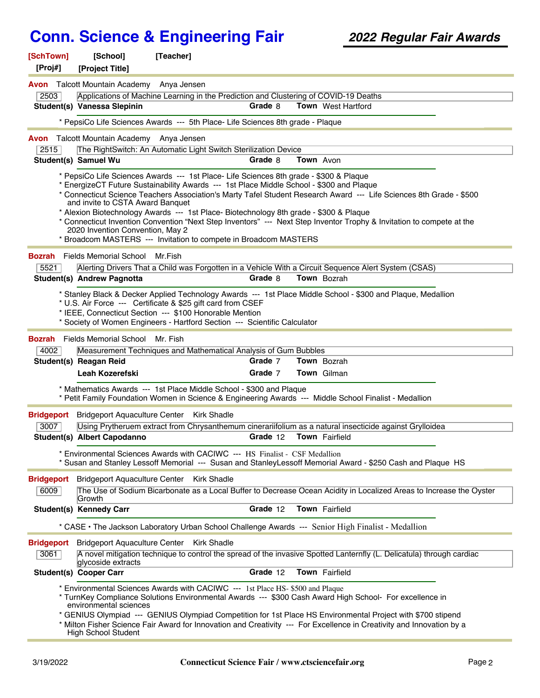| [SchTown]<br>[Proj#] | [School]<br>[Project Title]                          | [Teacher]                                                                                                                                                                                           |          |           |                                                                                                                                                                                                                                                                                                                                                 |  |
|----------------------|------------------------------------------------------|-----------------------------------------------------------------------------------------------------------------------------------------------------------------------------------------------------|----------|-----------|-------------------------------------------------------------------------------------------------------------------------------------------------------------------------------------------------------------------------------------------------------------------------------------------------------------------------------------------------|--|
|                      | <b>Avon</b> Talcott Mountain Academy Anya Jensen     |                                                                                                                                                                                                     |          |           |                                                                                                                                                                                                                                                                                                                                                 |  |
| 2503                 |                                                      | Applications of Machine Learning in the Prediction and Clustering of COVID-19 Deaths                                                                                                                |          |           |                                                                                                                                                                                                                                                                                                                                                 |  |
|                      | Student(s) Vanessa Slepinin                          |                                                                                                                                                                                                     | Grade 8  |           | <b>Town</b> West Hartford                                                                                                                                                                                                                                                                                                                       |  |
|                      |                                                      | * PepsiCo Life Sciences Awards --- 5th Place- Life Sciences 8th grade - Plaque                                                                                                                      |          |           |                                                                                                                                                                                                                                                                                                                                                 |  |
| Avon                 | Talcott Mountain Academy Anya Jensen                 |                                                                                                                                                                                                     |          |           |                                                                                                                                                                                                                                                                                                                                                 |  |
| 2515                 |                                                      | The RightSwitch: An Automatic Light Switch Sterilization Device                                                                                                                                     |          |           |                                                                                                                                                                                                                                                                                                                                                 |  |
|                      | Student(s) Samuel Wu                                 |                                                                                                                                                                                                     | Grade 8  | Town Avon |                                                                                                                                                                                                                                                                                                                                                 |  |
|                      |                                                      | * PepsiCo Life Sciences Awards --- 1st Place- Life Sciences 8th grade - \$300 & Plaque<br>* EnergizeCT Future Sustainability Awards --- 1st Place Middle School - \$300 and Plaque                  |          |           |                                                                                                                                                                                                                                                                                                                                                 |  |
|                      | and invite to CSTA Award Banquet                     |                                                                                                                                                                                                     |          |           | * Connecticut Science Teachers Association's Marty Tafel Student Research Award --- Life Sciences 8th Grade - \$500                                                                                                                                                                                                                             |  |
|                      |                                                      | * Alexion Biotechnology Awards --- 1st Place- Biotechnology 8th grade - \$300 & Plaque                                                                                                              |          |           |                                                                                                                                                                                                                                                                                                                                                 |  |
|                      | 2020 Invention Convention, May 2                     |                                                                                                                                                                                                     |          |           | * Connecticut Invention Convention "Next Step Inventors" --- Next Step Inventor Trophy & Invitation to compete at the                                                                                                                                                                                                                           |  |
|                      |                                                      | * Broadcom MASTERS --- Invitation to compete in Broadcom MASTERS                                                                                                                                    |          |           |                                                                                                                                                                                                                                                                                                                                                 |  |
| <b>Bozrah</b>        | <b>Fields Memorial School</b>                        | Mr.Fish                                                                                                                                                                                             |          |           |                                                                                                                                                                                                                                                                                                                                                 |  |
| 5521                 |                                                      |                                                                                                                                                                                                     |          |           | Alerting Drivers That a Child was Forgotten in a Vehicle With a Circuit Sequence Alert System (CSAS)                                                                                                                                                                                                                                            |  |
|                      | <b>Student(s) Andrew Pagnotta</b>                    |                                                                                                                                                                                                     | Grade 8  |           | Town Bozrah                                                                                                                                                                                                                                                                                                                                     |  |
|                      |                                                      | * U.S. Air Force --- Certificate & \$25 gift card from CSEF<br>* IEEE, Connecticut Section --- \$100 Honorable Mention<br>* Society of Women Engineers - Hartford Section --- Scientific Calculator |          |           | * Stanley Black & Decker Applied Technology Awards --- 1st Place Middle School - \$300 and Plaque, Medallion                                                                                                                                                                                                                                    |  |
| <b>Bozrah</b>        | Fields Memorial School                               | Mr. Fish                                                                                                                                                                                            |          |           |                                                                                                                                                                                                                                                                                                                                                 |  |
| 4002                 |                                                      | Measurement Techniques and Mathematical Analysis of Gum Bubbles                                                                                                                                     |          |           |                                                                                                                                                                                                                                                                                                                                                 |  |
|                      | Student(s) Reagan Reid                               |                                                                                                                                                                                                     | Grade 7  |           | <b>Town</b> Bozrah                                                                                                                                                                                                                                                                                                                              |  |
|                      | Leah Kozerefski                                      |                                                                                                                                                                                                     | Grade 7  |           | Town Gilman                                                                                                                                                                                                                                                                                                                                     |  |
|                      |                                                      | * Mathematics Awards --- 1st Place Middle School - \$300 and Plaque                                                                                                                                 |          |           | * Petit Family Foundation Women in Science & Engineering Awards --- Middle School Finalist - Medallion                                                                                                                                                                                                                                          |  |
| <b>Bridgeport</b>    | <b>Bridgeport Aquaculture Center</b>                 | <b>Kirk Shadle</b>                                                                                                                                                                                  |          |           |                                                                                                                                                                                                                                                                                                                                                 |  |
| 3007                 |                                                      |                                                                                                                                                                                                     |          |           | Using Prytheruem extract from Chrysanthemum cinerariifolium as a natural insecticide against Grylloidea                                                                                                                                                                                                                                         |  |
|                      | Student(s) Albert Capodanno                          |                                                                                                                                                                                                     | Grade 12 |           | Town Fairfield                                                                                                                                                                                                                                                                                                                                  |  |
|                      |                                                      | * Environmental Sciences Awards with CACIWC --- HS Finalist - CSF Medallion                                                                                                                         |          |           | * Susan and Stanley Lessoff Memorial --- Susan and StanleyLessoff Memorial Award - \$250 Cash and Plaque HS                                                                                                                                                                                                                                     |  |
| <b>Bridgeport</b>    | <b>Bridgeport Aquaculture Center</b>                 | Kirk Shadle                                                                                                                                                                                         |          |           |                                                                                                                                                                                                                                                                                                                                                 |  |
| 6009                 | Growth                                               |                                                                                                                                                                                                     |          |           | The Use of Sodium Bicarbonate as a Local Buffer to Decrease Ocean Acidity in Localized Areas to Increase the Oyster                                                                                                                                                                                                                             |  |
|                      | Student(s) Kennedy Carr                              |                                                                                                                                                                                                     | Grade 12 |           | Town Fairfield                                                                                                                                                                                                                                                                                                                                  |  |
|                      |                                                      |                                                                                                                                                                                                     |          |           | * CASE . The Jackson Laboratory Urban School Challenge Awards --- Senior High Finalist - Medallion                                                                                                                                                                                                                                              |  |
| <b>Bridgeport</b>    | <b>Bridgeport Aquaculture Center</b>                 | <b>Kirk Shadle</b>                                                                                                                                                                                  |          |           |                                                                                                                                                                                                                                                                                                                                                 |  |
| 3061                 | glycoside extracts                                   |                                                                                                                                                                                                     |          |           | A novel mitigation technique to control the spread of the invasive Spotted Lanternfly (L. Delicatula) through cardiac                                                                                                                                                                                                                           |  |
|                      | <b>Student(s) Cooper Carr</b>                        |                                                                                                                                                                                                     | Grade 12 |           | Town Fairfield                                                                                                                                                                                                                                                                                                                                  |  |
|                      | environmental sciences<br><b>High School Student</b> | * Environmental Sciences Awards with CACIWC --- 1st Place HS- \$500 and Plaque                                                                                                                      |          |           | * TurnKey Compliance Solutions Environmental Awards --- \$300 Cash Award High School- For excellence in<br>* GENIUS Olympiad --- GENIUS Olympiad Competition for 1st Place HS Environmental Project with \$700 stipend<br>* Milton Fisher Science Fair Award for Innovation and Creativity --- For Excellence in Creativity and Innovation by a |  |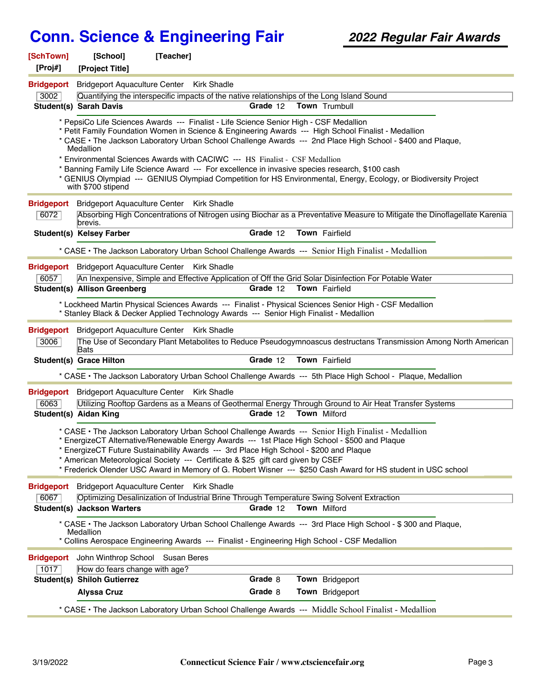| [SchTown]<br>[Proj#]      | [School]<br>[Project Title]            | [Teacher]                                                                                                                                                                                                                                                                 |          |                                                                                                                                                                                                                                                                                                                                         |  |
|---------------------------|----------------------------------------|---------------------------------------------------------------------------------------------------------------------------------------------------------------------------------------------------------------------------------------------------------------------------|----------|-----------------------------------------------------------------------------------------------------------------------------------------------------------------------------------------------------------------------------------------------------------------------------------------------------------------------------------------|--|
| <b>Bridgeport</b>         |                                        | Bridgeport Aquaculture Center Kirk Shadle                                                                                                                                                                                                                                 |          |                                                                                                                                                                                                                                                                                                                                         |  |
| 3002                      |                                        | Quantifying the interspecific impacts of the native relationships of the Long Island Sound                                                                                                                                                                                |          |                                                                                                                                                                                                                                                                                                                                         |  |
|                           | <b>Student(s) Sarah Davis</b>          |                                                                                                                                                                                                                                                                           | Grade 12 | <b>Town</b> Trumbull                                                                                                                                                                                                                                                                                                                    |  |
|                           | <b>Medallion</b><br>with \$700 stipend | * PepsiCo Life Sciences Awards --- Finalist - Life Science Senior High - CSF Medallion<br>* Environmental Sciences Awards with CACIWC --- HS Finalist - CSF Medallion<br>* Banning Family Life Science Award --- For excellence in invasive species research, \$100 cash  |          | * Petit Family Foundation Women in Science & Engineering Awards --- High School Finalist - Medallion<br>* CASE • The Jackson Laboratory Urban School Challenge Awards --- 2nd Place High School - \$400 and Plaque,<br>* GENIUS Olympiad --- GENIUS Olympiad Competition for HS Environmental, Energy, Ecology, or Biodiversity Project |  |
| <b>Bridgeport</b>         | <b>Bridgeport Aquaculture Center</b>   | Kirk Shadle                                                                                                                                                                                                                                                               |          |                                                                                                                                                                                                                                                                                                                                         |  |
| 6072                      | brevis.                                |                                                                                                                                                                                                                                                                           |          | Absorbing High Concentrations of Nitrogen using Biochar as a Preventative Measure to Mitigate the Dinoflagellate Karenia                                                                                                                                                                                                                |  |
|                           | <b>Student(s) Kelsey Farber</b>        |                                                                                                                                                                                                                                                                           | Grade 12 | Town Fairfield                                                                                                                                                                                                                                                                                                                          |  |
|                           |                                        |                                                                                                                                                                                                                                                                           |          | * CASE • The Jackson Laboratory Urban School Challenge Awards --- Senior High Finalist - Medallion                                                                                                                                                                                                                                      |  |
| <b>Bridgeport</b>         |                                        | Bridgeport Aquaculture Center Kirk Shadle                                                                                                                                                                                                                                 |          |                                                                                                                                                                                                                                                                                                                                         |  |
| 6057                      |                                        |                                                                                                                                                                                                                                                                           |          | An Inexpensive, Simple and Effective Application of Off the Grid Solar Disinfection For Potable Water                                                                                                                                                                                                                                   |  |
|                           | <b>Student(s) Allison Greenberg</b>    |                                                                                                                                                                                                                                                                           | Grade 12 | <b>Town</b> Fairfield                                                                                                                                                                                                                                                                                                                   |  |
|                           |                                        | * Stanley Black & Decker Applied Technology Awards --- Senior High Finalist - Medallion                                                                                                                                                                                   |          | * Lockheed Martin Physical Sciences Awards --- Finalist - Physical Sciences Senior High - CSF Medallion                                                                                                                                                                                                                                 |  |
| <b>Bridgeport</b><br>3006 | Bats                                   | Bridgeport Aquaculture Center Kirk Shadle                                                                                                                                                                                                                                 |          | The Use of Secondary Plant Metabolites to Reduce Pseudogymnoascus destructans Transmission Among North American                                                                                                                                                                                                                         |  |
|                           | Student(s) Grace Hilton                |                                                                                                                                                                                                                                                                           | Grade 12 | Town Fairfield                                                                                                                                                                                                                                                                                                                          |  |
|                           |                                        |                                                                                                                                                                                                                                                                           |          | * CASE • The Jackson Laboratory Urban School Challenge Awards --- 5th Place High School - Plaque, Medallion                                                                                                                                                                                                                             |  |
|                           |                                        | <b>Bridgeport</b> Bridgeport Aquaculture Center Kirk Shadle                                                                                                                                                                                                               |          |                                                                                                                                                                                                                                                                                                                                         |  |
| 6063                      |                                        |                                                                                                                                                                                                                                                                           |          | Utilizing Rooftop Gardens as a Means of Geothermal Energy Through Ground to Air Heat Transfer Systems                                                                                                                                                                                                                                   |  |
|                           | Student(s) Aidan King                  |                                                                                                                                                                                                                                                                           | Grade 12 | <b>Town Milford</b>                                                                                                                                                                                                                                                                                                                     |  |
|                           |                                        | * EnergizeCT Alternative/Renewable Energy Awards --- 1st Place High School - \$500 and Plaque<br>EnergizeCT Future Sustainability Awards --- 3rd Place High School - \$200 and Plaque<br>* American Meteorological Society --- Certificate & \$25 gift card given by CSEF |          | * CASE • The Jackson Laboratory Urban School Challenge Awards --- Senior High Finalist - Medallion<br>* Frederick Olender USC Award in Memory of G. Robert Wisner --- \$250 Cash Award for HS student in USC school                                                                                                                     |  |
| <b>Bridgeport</b>         |                                        | Bridgeport Aquaculture Center Kirk Shadle                                                                                                                                                                                                                                 |          |                                                                                                                                                                                                                                                                                                                                         |  |
| 6067                      |                                        | Optimizing Desalinization of Industrial Brine Through Temperature Swing Solvent Extraction                                                                                                                                                                                |          |                                                                                                                                                                                                                                                                                                                                         |  |
|                           | <b>Student(s) Jackson Warters</b>      |                                                                                                                                                                                                                                                                           | Grade 12 | <b>Town Milford</b>                                                                                                                                                                                                                                                                                                                     |  |
|                           | Medallion                              | * Collins Aerospace Engineering Awards --- Finalist - Engineering High School - CSF Medallion                                                                                                                                                                             |          | * CASE • The Jackson Laboratory Urban School Challenge Awards --- 3rd Place High School - \$300 and Plaque,                                                                                                                                                                                                                             |  |
| <b>Bridgeport</b>         | John Winthrop School Susan Beres       |                                                                                                                                                                                                                                                                           |          |                                                                                                                                                                                                                                                                                                                                         |  |
| 1017                      | How do fears change with age?          |                                                                                                                                                                                                                                                                           |          |                                                                                                                                                                                                                                                                                                                                         |  |
|                           | <b>Student(s) Shiloh Gutierrez</b>     |                                                                                                                                                                                                                                                                           | Grade 8  | Town Bridgeport                                                                                                                                                                                                                                                                                                                         |  |
|                           | <b>Alyssa Cruz</b>                     |                                                                                                                                                                                                                                                                           | Grade 8  | Town Bridgeport                                                                                                                                                                                                                                                                                                                         |  |
|                           |                                        |                                                                                                                                                                                                                                                                           |          | * CASE · The Jackson Laboratory Urban School Challenge Awards --- Middle School Finalist - Medallion                                                                                                                                                                                                                                    |  |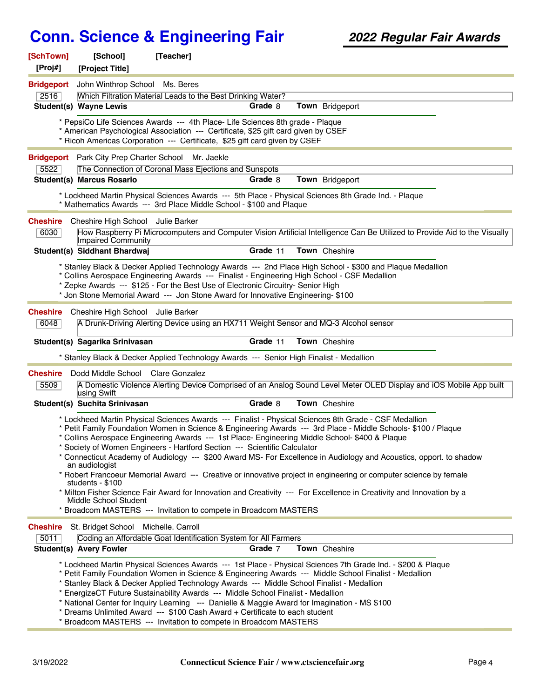| [SchTown]<br>[Proj#]    | [School]<br>[Project Title]                                 | [Teacher]                                                                                                                                                                                                                                                                                                                                                                                                                         |          |                                                                                                                                                                                                                                                                                                                                                                                                                                                                                                                                                                                              |
|-------------------------|-------------------------------------------------------------|-----------------------------------------------------------------------------------------------------------------------------------------------------------------------------------------------------------------------------------------------------------------------------------------------------------------------------------------------------------------------------------------------------------------------------------|----------|----------------------------------------------------------------------------------------------------------------------------------------------------------------------------------------------------------------------------------------------------------------------------------------------------------------------------------------------------------------------------------------------------------------------------------------------------------------------------------------------------------------------------------------------------------------------------------------------|
| <b>Bridgeport</b>       | John Winthrop School Ms. Beres                              |                                                                                                                                                                                                                                                                                                                                                                                                                                   |          |                                                                                                                                                                                                                                                                                                                                                                                                                                                                                                                                                                                              |
| 2516                    |                                                             | Which Filtration Material Leads to the Best Drinking Water?                                                                                                                                                                                                                                                                                                                                                                       |          |                                                                                                                                                                                                                                                                                                                                                                                                                                                                                                                                                                                              |
|                         | <b>Student(s) Wayne Lewis</b>                               |                                                                                                                                                                                                                                                                                                                                                                                                                                   | Grade 8  | Town Bridgeport                                                                                                                                                                                                                                                                                                                                                                                                                                                                                                                                                                              |
|                         |                                                             | * PepsiCo Life Sciences Awards --- 4th Place- Life Sciences 8th grade - Plaque<br>* American Psychological Association --- Certificate, \$25 gift card given by CSEF<br>* Ricoh Americas Corporation --- Certificate, \$25 gift card given by CSEF                                                                                                                                                                                |          |                                                                                                                                                                                                                                                                                                                                                                                                                                                                                                                                                                                              |
|                         | Bridgeport Park City Prep Charter School Mr. Jaekle         |                                                                                                                                                                                                                                                                                                                                                                                                                                   |          |                                                                                                                                                                                                                                                                                                                                                                                                                                                                                                                                                                                              |
| 5522                    |                                                             | The Connection of Coronal Mass Ejections and Sunspots                                                                                                                                                                                                                                                                                                                                                                             |          |                                                                                                                                                                                                                                                                                                                                                                                                                                                                                                                                                                                              |
|                         | <b>Student(s) Marcus Rosario</b>                            |                                                                                                                                                                                                                                                                                                                                                                                                                                   | Grade 8  | Town Bridgeport                                                                                                                                                                                                                                                                                                                                                                                                                                                                                                                                                                              |
|                         |                                                             | * Mathematics Awards --- 3rd Place Middle School - \$100 and Plaque                                                                                                                                                                                                                                                                                                                                                               |          | * Lockheed Martin Physical Sciences Awards --- 5th Place - Physical Sciences 8th Grade Ind. - Plaque                                                                                                                                                                                                                                                                                                                                                                                                                                                                                         |
| <b>Cheshire</b>         | Cheshire High School Julie Barker                           |                                                                                                                                                                                                                                                                                                                                                                                                                                   |          |                                                                                                                                                                                                                                                                                                                                                                                                                                                                                                                                                                                              |
| 6030                    | Impaired Community                                          |                                                                                                                                                                                                                                                                                                                                                                                                                                   |          | How Raspberry Pi Microcomputers and Computer Vision Artificial Intelligence Can Be Utilized to Provide Aid to the Visually                                                                                                                                                                                                                                                                                                                                                                                                                                                                   |
|                         | Student(s) Siddhant Bhardwaj                                |                                                                                                                                                                                                                                                                                                                                                                                                                                   | Grade 11 | Town Cheshire                                                                                                                                                                                                                                                                                                                                                                                                                                                                                                                                                                                |
|                         |                                                             | * Collins Aerospace Engineering Awards --- Finalist - Engineering High School - CSF Medallion<br>* Zepke Awards --- \$125 - For the Best Use of Electronic Circuitry- Senior High<br>* Jon Stone Memorial Award --- Jon Stone Award for Innovative Engineering- \$100                                                                                                                                                             |          | * Stanley Black & Decker Applied Technology Awards --- 2nd Place High School - \$300 and Plaque Medallion                                                                                                                                                                                                                                                                                                                                                                                                                                                                                    |
| <b>Cheshire</b>         | Cheshire High School Julie Barker                           |                                                                                                                                                                                                                                                                                                                                                                                                                                   |          |                                                                                                                                                                                                                                                                                                                                                                                                                                                                                                                                                                                              |
| 6048                    |                                                             | A Drunk-Driving Alerting Device using an HX711 Weight Sensor and MQ-3 Alcohol sensor                                                                                                                                                                                                                                                                                                                                              |          |                                                                                                                                                                                                                                                                                                                                                                                                                                                                                                                                                                                              |
|                         | Student(s) Sagarika Srinivasan                              |                                                                                                                                                                                                                                                                                                                                                                                                                                   | Grade 11 | Town Cheshire                                                                                                                                                                                                                                                                                                                                                                                                                                                                                                                                                                                |
|                         |                                                             | * Stanley Black & Decker Applied Technology Awards --- Senior High Finalist - Medallion                                                                                                                                                                                                                                                                                                                                           |          |                                                                                                                                                                                                                                                                                                                                                                                                                                                                                                                                                                                              |
| <b>Cheshire</b><br>5509 | Dodd Middle School Clare Gonzalez                           |                                                                                                                                                                                                                                                                                                                                                                                                                                   |          | A Domestic Violence Alerting Device Comprised of an Analog Sound Level Meter OLED Display and iOS Mobile App built                                                                                                                                                                                                                                                                                                                                                                                                                                                                           |
|                         | using Swift<br>Student(s) Suchita Srinivasan                |                                                                                                                                                                                                                                                                                                                                                                                                                                   | Grade 8  | Town Cheshire                                                                                                                                                                                                                                                                                                                                                                                                                                                                                                                                                                                |
|                         |                                                             |                                                                                                                                                                                                                                                                                                                                                                                                                                   |          |                                                                                                                                                                                                                                                                                                                                                                                                                                                                                                                                                                                              |
|                         | an audiologist<br>students - \$100<br>Middle School Student | * Collins Aerospace Engineering Awards --- 1st Place- Engineering Middle School- \$400 & Plaque<br>Society of Women Engineers - Hartford Section --- Scientific Calculator<br>* Broadcom MASTERS --- Invitation to compete in Broadcom MASTERS                                                                                                                                                                                    |          | * Lockheed Martin Physical Sciences Awards --- Finalist - Physical Sciences 8th Grade - CSF Medallion<br>* Petit Family Foundation Women in Science & Engineering Awards --- 3rd Place - Middle Schools- \$100 / Plaque<br>* Connecticut Academy of Audiology --- \$200 Award MS- For Excellence in Audiology and Acoustics, opport. to shadow<br>* Robert Francoeur Memorial Award --- Creative or innovative project in engineering or computer science by female<br>* Milton Fisher Science Fair Award for Innovation and Creativity --- For Excellence in Creativity and Innovation by a |
| <b>Cheshire</b>         | St. Bridget School Michelle. Carroll                        |                                                                                                                                                                                                                                                                                                                                                                                                                                   |          |                                                                                                                                                                                                                                                                                                                                                                                                                                                                                                                                                                                              |
| 5011                    |                                                             | Coding an Affordable Goat Identification System for All Farmers                                                                                                                                                                                                                                                                                                                                                                   |          |                                                                                                                                                                                                                                                                                                                                                                                                                                                                                                                                                                                              |
|                         | <b>Student(s) Avery Fowler</b>                              |                                                                                                                                                                                                                                                                                                                                                                                                                                   | Grade 7  | Town Cheshire                                                                                                                                                                                                                                                                                                                                                                                                                                                                                                                                                                                |
|                         |                                                             | * Stanley Black & Decker Applied Technology Awards --- Middle School Finalist - Medallion<br>* EnergizeCT Future Sustainability Awards --- Middle School Finalist - Medallion<br>* National Center for Inquiry Learning --- Danielle & Maggie Award for Imagination - MS \$100<br>* Dreams Unlimited Award --- \$100 Cash Award + Certificate to each student<br>* Broadcom MASTERS --- Invitation to compete in Broadcom MASTERS |          | * Lockheed Martin Physical Sciences Awards --- 1st Place - Physical Sciences 7th Grade Ind. - \$200 & Plaque<br>* Petit Family Foundation Women in Science & Engineering Awards --- Middle School Finalist - Medallion                                                                                                                                                                                                                                                                                                                                                                       |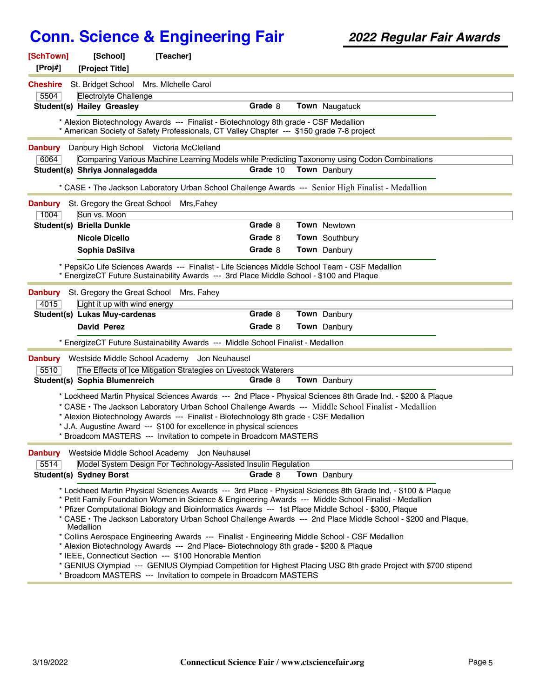| [SchTown]<br>[Proj#] | [Teacher]<br>[School]<br>[Project Title]                                                                                                                                                                                                                                                                                                                                                                                                                                                                                                                                                                                                                                                                                                                                                                                                                                                                   |          |                |
|----------------------|------------------------------------------------------------------------------------------------------------------------------------------------------------------------------------------------------------------------------------------------------------------------------------------------------------------------------------------------------------------------------------------------------------------------------------------------------------------------------------------------------------------------------------------------------------------------------------------------------------------------------------------------------------------------------------------------------------------------------------------------------------------------------------------------------------------------------------------------------------------------------------------------------------|----------|----------------|
| <b>Cheshire</b>      | St. Bridget School Mrs. Michelle Carol                                                                                                                                                                                                                                                                                                                                                                                                                                                                                                                                                                                                                                                                                                                                                                                                                                                                     |          |                |
| 5504                 | <b>Electrolyte Challenge</b>                                                                                                                                                                                                                                                                                                                                                                                                                                                                                                                                                                                                                                                                                                                                                                                                                                                                               |          |                |
|                      | <b>Student(s) Hailey Greasley</b>                                                                                                                                                                                                                                                                                                                                                                                                                                                                                                                                                                                                                                                                                                                                                                                                                                                                          | Grade 8  | Town Naugatuck |
|                      | * Alexion Biotechnology Awards --- Finalist - Biotechnology 8th grade - CSF Medallion<br>* American Society of Safety Professionals, CT Valley Chapter --- \$150 grade 7-8 project                                                                                                                                                                                                                                                                                                                                                                                                                                                                                                                                                                                                                                                                                                                         |          |                |
| <b>Danbury</b>       | Danbury High School Victoria McClelland                                                                                                                                                                                                                                                                                                                                                                                                                                                                                                                                                                                                                                                                                                                                                                                                                                                                    |          |                |
| 6064                 | Comparing Various Machine Learning Models while Predicting Taxonomy using Codon Combinations                                                                                                                                                                                                                                                                                                                                                                                                                                                                                                                                                                                                                                                                                                                                                                                                               |          |                |
|                      | Student(s) Shriya Jonnalagadda                                                                                                                                                                                                                                                                                                                                                                                                                                                                                                                                                                                                                                                                                                                                                                                                                                                                             | Grade 10 | Town Danbury   |
|                      | * CASE • The Jackson Laboratory Urban School Challenge Awards --- Senior High Finalist - Medallion                                                                                                                                                                                                                                                                                                                                                                                                                                                                                                                                                                                                                                                                                                                                                                                                         |          |                |
| <b>Danbury</b>       | St. Gregory the Great School Mrs, Fahey                                                                                                                                                                                                                                                                                                                                                                                                                                                                                                                                                                                                                                                                                                                                                                                                                                                                    |          |                |
| 1004                 | Sun vs. Moon                                                                                                                                                                                                                                                                                                                                                                                                                                                                                                                                                                                                                                                                                                                                                                                                                                                                                               |          |                |
|                      | Student(s) Briella Dunkle                                                                                                                                                                                                                                                                                                                                                                                                                                                                                                                                                                                                                                                                                                                                                                                                                                                                                  | Grade 8  | Town Newtown   |
|                      | Nicole Dicello                                                                                                                                                                                                                                                                                                                                                                                                                                                                                                                                                                                                                                                                                                                                                                                                                                                                                             | Grade 8  | Town Southbury |
|                      | Sophia DaSilva                                                                                                                                                                                                                                                                                                                                                                                                                                                                                                                                                                                                                                                                                                                                                                                                                                                                                             | Grade 8  | Town Danbury   |
|                      | * PepsiCo Life Sciences Awards --- Finalist - Life Sciences Middle School Team - CSF Medallion<br>* EnergizeCT Future Sustainability Awards --- 3rd Place Middle School - \$100 and Plaque                                                                                                                                                                                                                                                                                                                                                                                                                                                                                                                                                                                                                                                                                                                 |          |                |
| <b>Danbury</b>       | St. Gregory the Great School Mrs. Fahey                                                                                                                                                                                                                                                                                                                                                                                                                                                                                                                                                                                                                                                                                                                                                                                                                                                                    |          |                |
| 4015                 | Light it up with wind energy                                                                                                                                                                                                                                                                                                                                                                                                                                                                                                                                                                                                                                                                                                                                                                                                                                                                               |          |                |
|                      | Student(s) Lukas Muy-cardenas                                                                                                                                                                                                                                                                                                                                                                                                                                                                                                                                                                                                                                                                                                                                                                                                                                                                              | Grade 8  | Town Danbury   |
|                      | David Perez                                                                                                                                                                                                                                                                                                                                                                                                                                                                                                                                                                                                                                                                                                                                                                                                                                                                                                | Grade 8  | Town Danbury   |
|                      | * EnergizeCT Future Sustainability Awards --- Middle School Finalist - Medallion                                                                                                                                                                                                                                                                                                                                                                                                                                                                                                                                                                                                                                                                                                                                                                                                                           |          |                |
| <b>Danbury</b>       | Westside Middle School Academy Jon Neuhausel                                                                                                                                                                                                                                                                                                                                                                                                                                                                                                                                                                                                                                                                                                                                                                                                                                                               |          |                |
| 5510                 | The Effects of Ice Mitigation Strategies on Livestock Waterers                                                                                                                                                                                                                                                                                                                                                                                                                                                                                                                                                                                                                                                                                                                                                                                                                                             |          |                |
|                      | Student(s) Sophia Blumenreich                                                                                                                                                                                                                                                                                                                                                                                                                                                                                                                                                                                                                                                                                                                                                                                                                                                                              | Grade 8  | Town Danbury   |
|                      | * Lockheed Martin Physical Sciences Awards --- 2nd Place - Physical Sciences 8th Grade Ind. - \$200 & Plaque<br>* CASE · The Jackson Laboratory Urban School Challenge Awards --- Middle School Finalist - Medallion<br>* Alexion Biotechnology Awards --- Finalist - Biotechnology 8th grade - CSF Medallion<br>* J.A. Augustine Award --- \$100 for excellence in physical sciences<br>* Broadcom MASTERS --- Invitation to compete in Broadcom MASTERS                                                                                                                                                                                                                                                                                                                                                                                                                                                  |          |                |
| <b>Danbury</b>       | Westside Middle School Academy Jon Neuhausel                                                                                                                                                                                                                                                                                                                                                                                                                                                                                                                                                                                                                                                                                                                                                                                                                                                               |          |                |
| 5514                 | Model System Design For Technology-Assisted Insulin Regulation                                                                                                                                                                                                                                                                                                                                                                                                                                                                                                                                                                                                                                                                                                                                                                                                                                             |          |                |
|                      | <b>Student(s) Sydney Borst</b>                                                                                                                                                                                                                                                                                                                                                                                                                                                                                                                                                                                                                                                                                                                                                                                                                                                                             | Grade 8  | Town Danbury   |
|                      | * Lockheed Martin Physical Sciences Awards --- 3rd Place - Physical Sciences 8th Grade Ind, - \$100 & Plaque<br>* Petit Family Foundation Women in Science & Engineering Awards --- Middle School Finalist - Medallion<br>* Pfizer Computational Biology and Bioinformatics Awards --- 1st Place Middle School - \$300, Plaque<br>* CASE • The Jackson Laboratory Urban School Challenge Awards --- 2nd Place Middle School - \$200 and Plaque,<br>Medallion<br>* Collins Aerospace Engineering Awards --- Finalist - Engineering Middle School - CSF Medallion<br>* Alexion Biotechnology Awards --- 2nd Place- Biotechnology 8th grade - \$200 & Plaque<br>* IEEE, Connecticut Section --- \$100 Honorable Mention<br>* GENIUS Olympiad --- GENIUS Olympiad Competition for Highest Placing USC 8th grade Project with \$700 stipend<br>* Broadcom MASTERS --- Invitation to compete in Broadcom MASTERS |          |                |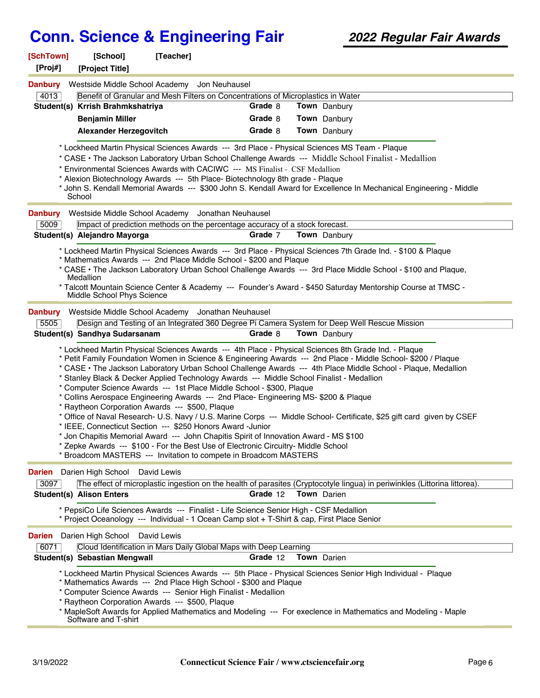| [SchTown]<br>[Proj#]   | [School]<br>[Project Title]      | [Teacher]                                                                                                                                                                                                                                                  |          |                                                                                                                                                                                                                                                                                                                                        |  |
|------------------------|----------------------------------|------------------------------------------------------------------------------------------------------------------------------------------------------------------------------------------------------------------------------------------------------------|----------|----------------------------------------------------------------------------------------------------------------------------------------------------------------------------------------------------------------------------------------------------------------------------------------------------------------------------------------|--|
| <b>Danbury</b><br>4013 |                                  | Westside Middle School Academy Jon Neuhausel<br>Benefit of Granular and Mesh Filters on Concentrations of Microplastics in Water                                                                                                                           |          |                                                                                                                                                                                                                                                                                                                                        |  |
|                        | Student(s) Krrish Brahmkshatriya |                                                                                                                                                                                                                                                            | Grade 8  | Town Danbury                                                                                                                                                                                                                                                                                                                           |  |
|                        | <b>Benjamin Miller</b>           |                                                                                                                                                                                                                                                            | Grade 8  | Town Danbury                                                                                                                                                                                                                                                                                                                           |  |
|                        | <b>Alexander Herzegovitch</b>    |                                                                                                                                                                                                                                                            | Grade 8  | Town Danbury                                                                                                                                                                                                                                                                                                                           |  |
|                        |                                  |                                                                                                                                                                                                                                                            |          | * Lockheed Martin Physical Sciences Awards --- 3rd Place - Physical Sciences MS Team - Plaque                                                                                                                                                                                                                                          |  |
|                        |                                  |                                                                                                                                                                                                                                                            |          | * CASE • The Jackson Laboratory Urban School Challenge Awards --- Middle School Finalist - Medallion                                                                                                                                                                                                                                   |  |
|                        |                                  | * Environmental Sciences Awards with CACIWC --- MS Finalist - CSF Medallion                                                                                                                                                                                |          |                                                                                                                                                                                                                                                                                                                                        |  |
|                        |                                  | * Alexion Biotechnology Awards --- 5th Place- Biotechnology 8th grade - Plaque                                                                                                                                                                             |          |                                                                                                                                                                                                                                                                                                                                        |  |
|                        | School                           |                                                                                                                                                                                                                                                            |          | * John S. Kendall Memorial Awards --- \$300 John S. Kendall Award for Excellence In Mechanical Engineering - Middle                                                                                                                                                                                                                    |  |
| <b>Danbury</b>         |                                  | Westside Middle School Academy Jonathan Neuhausel                                                                                                                                                                                                          |          |                                                                                                                                                                                                                                                                                                                                        |  |
| 5009                   |                                  | Impact of prediction methods on the percentage accuracy of a stock forecast.                                                                                                                                                                               |          |                                                                                                                                                                                                                                                                                                                                        |  |
|                        | Student(s) Alejandro Mayorga     |                                                                                                                                                                                                                                                            | Grade 7  | <b>Town</b> Danbury                                                                                                                                                                                                                                                                                                                    |  |
|                        |                                  |                                                                                                                                                                                                                                                            |          | * Lockheed Martin Physical Sciences Awards --- 3rd Place - Physical Sciences 7th Grade Ind. - \$100 & Plaque                                                                                                                                                                                                                           |  |
|                        |                                  | * Mathematics Awards --- 2nd Place Middle School - \$200 and Plaque                                                                                                                                                                                        |          | * CASE • The Jackson Laboratory Urban School Challenge Awards --- 3rd Place Middle School - \$100 and Plaque,                                                                                                                                                                                                                          |  |
|                        | Medallion                        |                                                                                                                                                                                                                                                            |          |                                                                                                                                                                                                                                                                                                                                        |  |
|                        | Middle School Phys Science       |                                                                                                                                                                                                                                                            |          | * Talcott Mountain Science Center & Academy --- Founder's Award - \$450 Saturday Mentorship Course at TMSC -                                                                                                                                                                                                                           |  |
| <b>Danbury</b>         |                                  | Westside Middle School Academy Jonathan Neuhausel                                                                                                                                                                                                          |          |                                                                                                                                                                                                                                                                                                                                        |  |
| 5505                   |                                  |                                                                                                                                                                                                                                                            |          | Design and Testing of an Integrated 360 Degree Pi Camera System for Deep Well Rescue Mission                                                                                                                                                                                                                                           |  |
|                        | Student(s) Sandhya Sudarsanam    |                                                                                                                                                                                                                                                            | Grade 8  | Town Danbury                                                                                                                                                                                                                                                                                                                           |  |
|                        |                                  | * Stanley Black & Decker Applied Technology Awards --- Middle School Finalist - Medallion<br>* Computer Science Awards --- 1st Place Middle School - \$300, Plaque<br>* Collins Aerospace Engineering Awards --- 2nd Place- Engineering MS- \$200 & Plaque |          | * Lockheed Martin Physical Sciences Awards --- 4th Place - Physical Sciences 8th Grade Ind. - Plaque<br>* Petit Family Foundation Women in Science & Engineering Awards --- 2nd Place - Middle School- \$200 / Plaque<br>* CASE · The Jackson Laboratory Urban School Challenge Awards --- 4th Place Middle School - Plaque, Medallion |  |
|                        |                                  | * Raytheon Corporation Awards --- \$500, Plaque                                                                                                                                                                                                            |          |                                                                                                                                                                                                                                                                                                                                        |  |
|                        |                                  | * IEEE, Connecticut Section --- \$250 Honors Award -Junior                                                                                                                                                                                                 |          | * Office of Naval Research- U.S. Navy / U.S. Marine Corps --- Middle School- Certificate, \$25 gift card given by CSEF                                                                                                                                                                                                                 |  |
|                        |                                  | * Jon Chapitis Memorial Award --- John Chapitis Spirit of Innovation Award - MS \$100                                                                                                                                                                      |          |                                                                                                                                                                                                                                                                                                                                        |  |
|                        |                                  | * Zepke Awards --- \$100 - For the Best Use of Electronic Circuitry- Middle School                                                                                                                                                                         |          |                                                                                                                                                                                                                                                                                                                                        |  |
|                        |                                  | * Broadcom MASTERS --- Invitation to compete in Broadcom MASTERS                                                                                                                                                                                           |          |                                                                                                                                                                                                                                                                                                                                        |  |
| <b>Darien</b>          | Darien High School               | David Lewis                                                                                                                                                                                                                                                |          |                                                                                                                                                                                                                                                                                                                                        |  |
| 3097                   |                                  |                                                                                                                                                                                                                                                            |          | The effect of microplastic ingestion on the health of parasites (Cryptocotyle lingua) in periwinkles (Littorina littorea).                                                                                                                                                                                                             |  |
|                        | <b>Student(s) Alison Enters</b>  |                                                                                                                                                                                                                                                            | Grade 12 | <b>Town</b> Darien                                                                                                                                                                                                                                                                                                                     |  |
|                        |                                  | * PepsiCo Life Sciences Awards --- Finalist - Life Science Senior High - CSF Medallion<br>* Project Oceanology --- Individual - 1 Ocean Camp slot + T-Shirt & cap, First Place Senior                                                                      |          |                                                                                                                                                                                                                                                                                                                                        |  |
| Darien                 | Darien High School               | David Lewis                                                                                                                                                                                                                                                |          |                                                                                                                                                                                                                                                                                                                                        |  |
| 6071                   |                                  | Cloud Identification in Mars Daily Global Maps with Deep Learning                                                                                                                                                                                          |          |                                                                                                                                                                                                                                                                                                                                        |  |
|                        | Student(s) Sebastian Mengwall    |                                                                                                                                                                                                                                                            | Grade 12 | <b>Town</b> Darien                                                                                                                                                                                                                                                                                                                     |  |
|                        |                                  |                                                                                                                                                                                                                                                            |          | * Lockheed Martin Physical Sciences Awards --- 5th Place - Physical Sciences Senior High Individual - Plaque                                                                                                                                                                                                                           |  |
|                        |                                  | * Mathematics Awards --- 2nd Place High School - \$300 and Plaque<br>* Computer Science Awards --- Senior High Finalist - Medallion                                                                                                                        |          |                                                                                                                                                                                                                                                                                                                                        |  |
|                        |                                  | * Raytheon Corporation Awards --- \$500, Plaque                                                                                                                                                                                                            |          |                                                                                                                                                                                                                                                                                                                                        |  |
|                        | Software and T-shirt             |                                                                                                                                                                                                                                                            |          | * MapleSoft Awards for Applied Mathematics and Modeling --- For execlence in Mathematics and Modeling - Maple                                                                                                                                                                                                                          |  |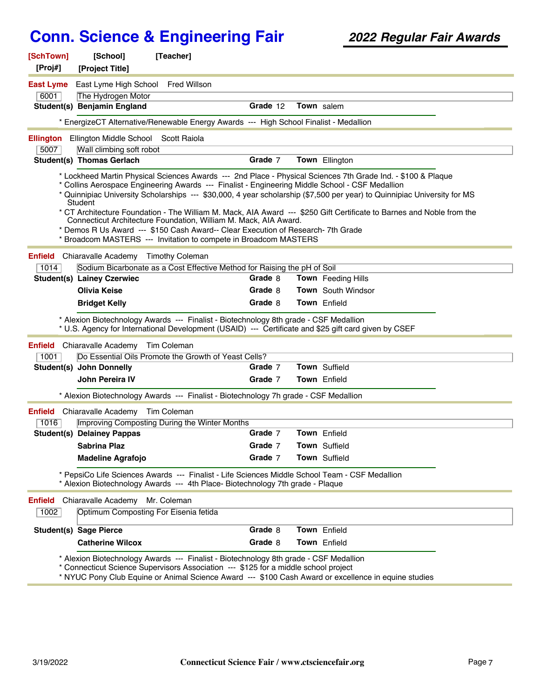| [SchTown]<br>[Proj#]   | [School]<br>[Project Title]                                              | [Teacher]                                                                                                                                                                                                                                               |          |                                                                                                                                                                                                                                                                                                                                                                   |  |
|------------------------|--------------------------------------------------------------------------|---------------------------------------------------------------------------------------------------------------------------------------------------------------------------------------------------------------------------------------------------------|----------|-------------------------------------------------------------------------------------------------------------------------------------------------------------------------------------------------------------------------------------------------------------------------------------------------------------------------------------------------------------------|--|
| <b>East Lyme</b>       | East Lyme High School Fred Willson                                       |                                                                                                                                                                                                                                                         |          |                                                                                                                                                                                                                                                                                                                                                                   |  |
| 6001                   | The Hydrogen Motor                                                       |                                                                                                                                                                                                                                                         |          |                                                                                                                                                                                                                                                                                                                                                                   |  |
|                        | Student(s) Benjamin England                                              |                                                                                                                                                                                                                                                         | Grade 12 | Town salem                                                                                                                                                                                                                                                                                                                                                        |  |
|                        |                                                                          | * EnergizeCT Alternative/Renewable Energy Awards --- High School Finalist - Medallion                                                                                                                                                                   |          |                                                                                                                                                                                                                                                                                                                                                                   |  |
| <b>Ellington</b>       | Ellington Middle School                                                  | Scott Raiola                                                                                                                                                                                                                                            |          |                                                                                                                                                                                                                                                                                                                                                                   |  |
| 5007                   | Wall climbing soft robot                                                 |                                                                                                                                                                                                                                                         |          |                                                                                                                                                                                                                                                                                                                                                                   |  |
|                        | <b>Student(s) Thomas Gerlach</b>                                         |                                                                                                                                                                                                                                                         | Grade 7  | Town Ellington                                                                                                                                                                                                                                                                                                                                                    |  |
|                        | <b>Student</b>                                                           | * Collins Aerospace Engineering Awards --- Finalist - Engineering Middle School - CSF Medallion<br>Connecticut Architecture Foundation, William M. Mack, AIA Award.<br>* Demos R Us Award --- \$150 Cash Award-- Clear Execution of Research- 7th Grade |          | * Lockheed Martin Physical Sciences Awards --- 2nd Place - Physical Sciences 7th Grade Ind. - \$100 & Plaque<br>* Quinnipiac University Scholarships --- \$30,000, 4 year scholarship (\$7,500 per year) to Quinnipiac University for MS<br>* CT Architecture Foundation - The William M. Mack, AIA Award --- \$250 Gift Certificate to Barnes and Noble from the |  |
|                        |                                                                          | * Broadcom MASTERS --- Invitation to compete in Broadcom MASTERS                                                                                                                                                                                        |          |                                                                                                                                                                                                                                                                                                                                                                   |  |
| <b>Enfield</b>         | Chiaravalle Academy Timothy Coleman                                      |                                                                                                                                                                                                                                                         |          |                                                                                                                                                                                                                                                                                                                                                                   |  |
| 1014                   |                                                                          | Sodium Bicarbonate as a Cost Effective Method for Raising the pH of Soil                                                                                                                                                                                |          |                                                                                                                                                                                                                                                                                                                                                                   |  |
|                        | <b>Student(s) Lainey Czerwiec</b>                                        |                                                                                                                                                                                                                                                         | Grade 8  | <b>Town</b> Feeding Hills                                                                                                                                                                                                                                                                                                                                         |  |
|                        | <b>Olivia Keise</b>                                                      |                                                                                                                                                                                                                                                         | Grade 8  | <b>Town</b> South Windsor                                                                                                                                                                                                                                                                                                                                         |  |
|                        | <b>Bridget Kelly</b>                                                     |                                                                                                                                                                                                                                                         | Grade 8  | <b>Town</b> Enfield                                                                                                                                                                                                                                                                                                                                               |  |
|                        |                                                                          | * Alexion Biotechnology Awards --- Finalist - Biotechnology 8th grade - CSF Medallion                                                                                                                                                                   |          | * U.S. Agency for International Development (USAID) --- Certificate and \$25 gift card given by CSEF                                                                                                                                                                                                                                                              |  |
| <b>Enfield</b>         | Chiaravalle Academy Tim Coleman                                          |                                                                                                                                                                                                                                                         |          |                                                                                                                                                                                                                                                                                                                                                                   |  |
| 1001                   |                                                                          | Do Essential Oils Promote the Growth of Yeast Cells?                                                                                                                                                                                                    |          |                                                                                                                                                                                                                                                                                                                                                                   |  |
|                        | Student(s) John Donnelly                                                 |                                                                                                                                                                                                                                                         | Grade 7  | Town Suffield                                                                                                                                                                                                                                                                                                                                                     |  |
|                        | John Pereira IV                                                          |                                                                                                                                                                                                                                                         | Grade 7  | <b>Town</b> Enfield                                                                                                                                                                                                                                                                                                                                               |  |
|                        |                                                                          | * Alexion Biotechnology Awards --- Finalist - Biotechnology 7h grade - CSF Medallion                                                                                                                                                                    |          |                                                                                                                                                                                                                                                                                                                                                                   |  |
| Enfield                | Chiaravalle Academy                                                      | Tim Coleman                                                                                                                                                                                                                                             |          |                                                                                                                                                                                                                                                                                                                                                                   |  |
| 1016                   |                                                                          | Improving Composting During the Winter Months                                                                                                                                                                                                           |          |                                                                                                                                                                                                                                                                                                                                                                   |  |
|                        | <b>Student(s) Delainey Pappas</b>                                        |                                                                                                                                                                                                                                                         | Grade 7  | <b>Town</b> Enfield                                                                                                                                                                                                                                                                                                                                               |  |
|                        | Sabrina Plaz                                                             |                                                                                                                                                                                                                                                         | Grade 7  | Town Suffield                                                                                                                                                                                                                                                                                                                                                     |  |
|                        | <b>Madeline Agrafojo</b>                                                 |                                                                                                                                                                                                                                                         | Grade 7  | Town Suffield                                                                                                                                                                                                                                                                                                                                                     |  |
|                        |                                                                          | * PepsiCo Life Sciences Awards --- Finalist - Life Sciences Middle School Team - CSF Medallion<br>* Alexion Biotechnology Awards --- 4th Place- Biotechnology 7th grade - Plaque                                                                        |          |                                                                                                                                                                                                                                                                                                                                                                   |  |
| <b>Enfield</b><br>1002 | Chiaravalle Academy Mr. Coleman<br>Optimum Composting For Eisenia fetida |                                                                                                                                                                                                                                                         |          |                                                                                                                                                                                                                                                                                                                                                                   |  |
|                        | <b>Student(s) Sage Pierce</b>                                            |                                                                                                                                                                                                                                                         | Grade 8  | Town Enfield                                                                                                                                                                                                                                                                                                                                                      |  |
|                        | <b>Catherine Wilcox</b>                                                  |                                                                                                                                                                                                                                                         | Grade 8  | Town Enfield                                                                                                                                                                                                                                                                                                                                                      |  |
|                        |                                                                          | * Alexion Biotechnology Awards --- Finalist - Biotechnology 8th grade - CSF Medallion<br>* Connecticut Science Supervisors Association --- \$125 for a middle school project                                                                            |          | * NYUC Pony Club Equine or Animal Science Award --- \$100 Cash Award or excellence in equine studies                                                                                                                                                                                                                                                              |  |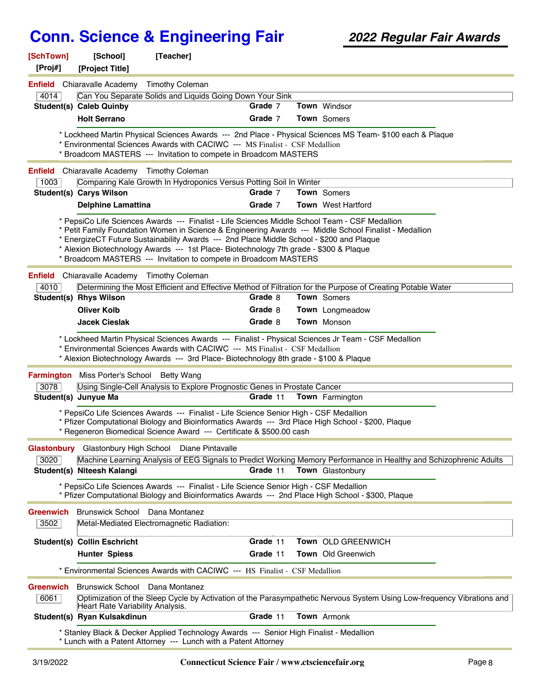| [SchTown]        | [School]                                           | [Teacher]                                                                                                                                                                                                                                                                                                                                                |          |                                                                                                                        |
|------------------|----------------------------------------------------|----------------------------------------------------------------------------------------------------------------------------------------------------------------------------------------------------------------------------------------------------------------------------------------------------------------------------------------------------------|----------|------------------------------------------------------------------------------------------------------------------------|
| [Proj#]          | [Project Title]                                    |                                                                                                                                                                                                                                                                                                                                                          |          |                                                                                                                        |
|                  | <b>Enfield</b> Chiaravalle Academy Timothy Coleman |                                                                                                                                                                                                                                                                                                                                                          |          |                                                                                                                        |
| 4014             |                                                    | Can You Separate Solids and Liquids Going Down Your Sink                                                                                                                                                                                                                                                                                                 |          |                                                                                                                        |
|                  | <b>Student(s) Caleb Quinby</b>                     |                                                                                                                                                                                                                                                                                                                                                          | Grade 7  | Town Windsor                                                                                                           |
|                  | <b>Holt Serrano</b>                                |                                                                                                                                                                                                                                                                                                                                                          | Grade 7  | Town Somers                                                                                                            |
|                  |                                                    | * Environmental Sciences Awards with CACIWC --- MS Finalist - CSF Medallion<br>* Broadcom MASTERS --- Invitation to compete in Broadcom MASTERS                                                                                                                                                                                                          |          | * Lockheed Martin Physical Sciences Awards --- 2nd Place - Physical Sciences MS Team- \$100 each & Plaque              |
|                  | <b>Enfield</b> Chiaravalle Academy Timothy Coleman |                                                                                                                                                                                                                                                                                                                                                          |          |                                                                                                                        |
| 1003             |                                                    | Comparing Kale Growth In Hydroponics Versus Potting Soil In Winter                                                                                                                                                                                                                                                                                       |          |                                                                                                                        |
|                  | <b>Student(s) Carys Wilson</b>                     |                                                                                                                                                                                                                                                                                                                                                          | Grade 7  | Town Somers                                                                                                            |
|                  | <b>Delphine Lamattina</b>                          |                                                                                                                                                                                                                                                                                                                                                          | Grade 7  | <b>Town</b> West Hartford                                                                                              |
|                  |                                                    | * PepsiCo Life Sciences Awards --- Finalist - Life Sciences Middle School Team - CSF Medallion<br>* EnergizeCT Future Sustainability Awards --- 2nd Place Middle School - \$200 and Plaque<br>* Alexion Biotechnology Awards --- 1st Place- Biotechnology 7th grade - \$300 & Plaque<br>* Broadcom MASTERS --- Invitation to compete in Broadcom MASTERS |          | * Petit Family Foundation Women in Science & Engineering Awards --- Middle School Finalist - Medallion                 |
|                  | <b>Enfield</b> Chiaravalle Academy Timothy Coleman |                                                                                                                                                                                                                                                                                                                                                          |          |                                                                                                                        |
| 4010             |                                                    |                                                                                                                                                                                                                                                                                                                                                          |          | Determining the Most Efficient and Effective Method of Filtration for the Purpose of Creating Potable Water            |
|                  | Student(s) Rhys Wilson                             |                                                                                                                                                                                                                                                                                                                                                          | Grade 8  | Town Somers                                                                                                            |
|                  | <b>Oliver Kolb</b>                                 |                                                                                                                                                                                                                                                                                                                                                          | Grade 8  | <b>Town</b> Longmeadow                                                                                                 |
|                  | <b>Jacek Cieslak</b>                               |                                                                                                                                                                                                                                                                                                                                                          | Grade 8  | Town Monson                                                                                                            |
|                  |                                                    |                                                                                                                                                                                                                                                                                                                                                          |          |                                                                                                                        |
|                  | Farmington Miss Porter's School Betty Wang         | * Environmental Sciences Awards with CACIWC --- MS Finalist - CSF Medallion<br>* Alexion Biotechnology Awards --- 3rd Place- Biotechnology 8th grade - \$100 & Plaque                                                                                                                                                                                    |          |                                                                                                                        |
| 3078             |                                                    | Using Single-Cell Analysis to Explore Prognostic Genes in Prostate Cancer                                                                                                                                                                                                                                                                                |          |                                                                                                                        |
|                  | Student(s) Junyue Ma                               |                                                                                                                                                                                                                                                                                                                                                          | Grade 11 | <b>Town</b> Farmington                                                                                                 |
|                  |                                                    | * PepsiCo Life Sciences Awards --- Finalist - Life Science Senior High - CSF Medallion<br>* Pfizer Computational Biology and Bioinformatics Awards --- 3rd Place High School - \$200, Plaque<br>* Regeneron Biomedical Science Award --- Certificate & \$500.00 cash                                                                                     |          |                                                                                                                        |
|                  |                                                    | Glastonbury Glastonbury High School Diane Pintavalle                                                                                                                                                                                                                                                                                                     |          |                                                                                                                        |
| 3020             |                                                    |                                                                                                                                                                                                                                                                                                                                                          |          | Machine Learning Analysis of EEG Signals to Predict Working Memory Performance in Healthy and Schizophrenic Adults     |
|                  | Student(s) Niteesh Kalangi                         |                                                                                                                                                                                                                                                                                                                                                          | Grade 11 | Town Glastonbury                                                                                                       |
|                  |                                                    | * PepsiCo Life Sciences Awards --- Finalist - Life Science Senior High - CSF Medallion<br>* Pfizer Computational Biology and Bioinformatics Awards --- 2nd Place High School - \$300, Plaque                                                                                                                                                             |          |                                                                                                                        |
| <b>Greenwich</b> | Brunswick School Dana Montanez                     |                                                                                                                                                                                                                                                                                                                                                          |          |                                                                                                                        |
| 3502             |                                                    | Metal-Mediated Electromagnetic Radiation:                                                                                                                                                                                                                                                                                                                |          |                                                                                                                        |
|                  | <b>Student(s) Collin Eschricht</b>                 |                                                                                                                                                                                                                                                                                                                                                          | Grade 11 | Town OLD GREENWICH                                                                                                     |
|                  | <b>Hunter Spiess</b>                               |                                                                                                                                                                                                                                                                                                                                                          | Grade 11 | <b>Town</b> Old Greenwich                                                                                              |
|                  |                                                    | * Environmental Sciences Awards with CACIWC --- HS Finalist - CSF Medallion                                                                                                                                                                                                                                                                              |          |                                                                                                                        |
| <b>Greenwich</b> | Brunswick School Dana Montanez                     |                                                                                                                                                                                                                                                                                                                                                          |          |                                                                                                                        |
| 6061             | Heart Rate Variability Analysis.                   |                                                                                                                                                                                                                                                                                                                                                          |          | Optimization of the Sleep Cycle by Activation of the Parasympathetic Nervous System Using Low-frequency Vibrations and |
|                  | Student(s) Ryan Kulsakdinun                        |                                                                                                                                                                                                                                                                                                                                                          | Grade 11 | Town Armonk                                                                                                            |
|                  |                                                    | * Stanley Black & Decker Applied Technology Awards --- Senior High Finalist - Medallion<br>* Lunch with a Patent Attorney --- Lunch with a Patent Attorney                                                                                                                                                                                               |          |                                                                                                                        |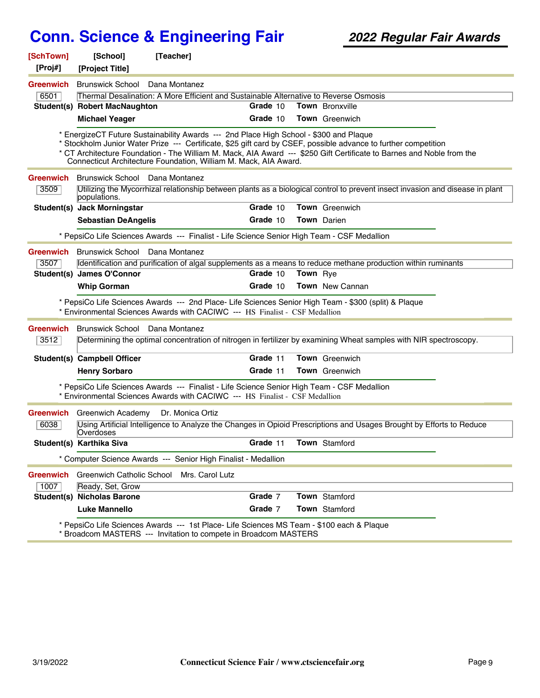| [SchTown]<br>[Proj#] | [School]                                                                                                                                         | [Teacher]                                                                                                                                                                  |          |                 |                                                                                                                                                                                                                                          |  |  |  |
|----------------------|--------------------------------------------------------------------------------------------------------------------------------------------------|----------------------------------------------------------------------------------------------------------------------------------------------------------------------------|----------|-----------------|------------------------------------------------------------------------------------------------------------------------------------------------------------------------------------------------------------------------------------------|--|--|--|
|                      | [Project Title]                                                                                                                                  |                                                                                                                                                                            |          |                 |                                                                                                                                                                                                                                          |  |  |  |
| <b>Greenwich</b>     | Brunswick School Dana Montanez                                                                                                                   |                                                                                                                                                                            |          |                 |                                                                                                                                                                                                                                          |  |  |  |
| 6501                 | Thermal Desalination: A More Efficient and Sustainable Alternative to Reverse Osmosis<br>Town Bronxville<br><b>Student(s) Robert MacNaughton</b> |                                                                                                                                                                            |          |                 |                                                                                                                                                                                                                                          |  |  |  |
|                      |                                                                                                                                                  |                                                                                                                                                                            | Grade 10 |                 |                                                                                                                                                                                                                                          |  |  |  |
|                      | <b>Michael Yeager</b>                                                                                                                            |                                                                                                                                                                            | Grade 10 |                 | <b>Town</b> Greenwich                                                                                                                                                                                                                    |  |  |  |
|                      |                                                                                                                                                  | * EnergizeCT Future Sustainability Awards --- 2nd Place High School - \$300 and Plaque<br>Connecticut Architecture Foundation, William M. Mack, AIA Award.                 |          |                 | * Stockholm Junior Water Prize --- Certificate, \$25 gift card by CSEF, possible advance to further competition<br>* CT Architecture Foundation - The William M. Mack, AIA Award --- \$250 Gift Certificate to Barnes and Noble from the |  |  |  |
| <b>Greenwich</b>     | Brunswick School Dana Montanez                                                                                                                   |                                                                                                                                                                            |          |                 |                                                                                                                                                                                                                                          |  |  |  |
| 3509                 | populations.                                                                                                                                     |                                                                                                                                                                            |          |                 | Utilizing the Mycorrhizal relationship between plants as a biological control to prevent insect invasion and disease in plant                                                                                                            |  |  |  |
|                      | Student(s) Jack Morningstar                                                                                                                      |                                                                                                                                                                            | Grade 10 |                 | Town Greenwich                                                                                                                                                                                                                           |  |  |  |
|                      | <b>Sebastian DeAngelis</b>                                                                                                                       |                                                                                                                                                                            | Grade 10 |                 | <b>Town</b> Darien                                                                                                                                                                                                                       |  |  |  |
|                      |                                                                                                                                                  | * PepsiCo Life Sciences Awards --- Finalist - Life Science Senior High Team - CSF Medallion                                                                                |          |                 |                                                                                                                                                                                                                                          |  |  |  |
| Greenwich            | Brunswick School Dana Montanez                                                                                                                   |                                                                                                                                                                            |          |                 |                                                                                                                                                                                                                                          |  |  |  |
| 3507                 |                                                                                                                                                  |                                                                                                                                                                            |          |                 | Identification and purification of algal supplements as a means to reduce methane production within ruminants                                                                                                                            |  |  |  |
|                      | Student(s) James O'Connor                                                                                                                        |                                                                                                                                                                            | Grade 10 | <b>Town</b> Rye |                                                                                                                                                                                                                                          |  |  |  |
|                      | <b>Whip Gorman</b>                                                                                                                               |                                                                                                                                                                            | Grade 10 |                 | <b>Town</b> New Cannan                                                                                                                                                                                                                   |  |  |  |
|                      |                                                                                                                                                  | * Environmental Sciences Awards with CACIWC --- HS Finalist - CSF Medallion                                                                                                |          |                 | * PepsiCo Life Sciences Awards --- 2nd Place- Life Sciences Senior High Team - \$300 (split) & Plaque                                                                                                                                    |  |  |  |
| <b>Greenwich</b>     | Brunswick School Dana Montanez                                                                                                                   |                                                                                                                                                                            |          |                 |                                                                                                                                                                                                                                          |  |  |  |
| 3512                 |                                                                                                                                                  |                                                                                                                                                                            |          |                 | Determining the optimal concentration of nitrogen in fertilizer by examining Wheat samples with NIR spectroscopy.                                                                                                                        |  |  |  |
|                      | Student(s) Campbell Officer                                                                                                                      |                                                                                                                                                                            | Grade 11 |                 | <b>Town</b> Greenwich                                                                                                                                                                                                                    |  |  |  |
|                      | <b>Henry Sorbaro</b>                                                                                                                             |                                                                                                                                                                            | Grade 11 |                 | Town Greenwich                                                                                                                                                                                                                           |  |  |  |
|                      |                                                                                                                                                  | * PepsiCo Life Sciences Awards --- Finalist - Life Science Senior High Team - CSF Medallion<br>* Environmental Sciences Awards with CACIWC --- HS Finalist - CSF Medallion |          |                 |                                                                                                                                                                                                                                          |  |  |  |
| Greenwich            | Greenwich Academy                                                                                                                                | Dr. Monica Ortiz                                                                                                                                                           |          |                 |                                                                                                                                                                                                                                          |  |  |  |
| 6038                 | Overdoses                                                                                                                                        |                                                                                                                                                                            |          |                 | Using Artificial Intelligence to Analyze the Changes in Opioid Prescriptions and Usages Brought by Efforts to Reduce                                                                                                                     |  |  |  |
|                      | Student(s) Karthika Siva                                                                                                                         |                                                                                                                                                                            | Grade 11 |                 | <b>Town</b> Stamford                                                                                                                                                                                                                     |  |  |  |
|                      |                                                                                                                                                  | * Computer Science Awards --- Senior High Finalist - Medallion                                                                                                             |          |                 |                                                                                                                                                                                                                                          |  |  |  |
| <b>Greenwich</b>     | Greenwich Catholic School                                                                                                                        | Mrs. Carol Lutz                                                                                                                                                            |          |                 |                                                                                                                                                                                                                                          |  |  |  |
| 1007                 | Ready, Set, Grow                                                                                                                                 |                                                                                                                                                                            |          |                 |                                                                                                                                                                                                                                          |  |  |  |
|                      | <b>Student(s) Nicholas Barone</b>                                                                                                                |                                                                                                                                                                            | Grade 7  |                 | Town Stamford                                                                                                                                                                                                                            |  |  |  |
|                      | <b>Luke Mannello</b>                                                                                                                             |                                                                                                                                                                            | Grade 7  |                 | Town Stamford                                                                                                                                                                                                                            |  |  |  |
|                      |                                                                                                                                                  | * PepsiCo Life Sciences Awards --- 1st Place- Life Sciences MS Team - \$100 each & Plaque                                                                                  |          |                 |                                                                                                                                                                                                                                          |  |  |  |

\* Broadcom MASTERS --- Invitation to compete in Broadcom MASTERS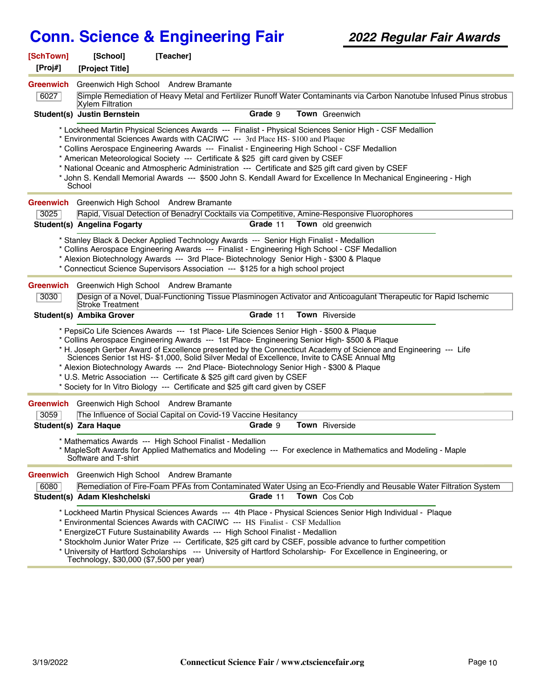| [SchTown]<br>[Proj#]     | [School]<br>[Project Title]                            | [Teacher]                                                                                                                                                                                                                                               |          |                                                                                                                                                                                                                                                                                                                                                                                                                                     |  |
|--------------------------|--------------------------------------------------------|---------------------------------------------------------------------------------------------------------------------------------------------------------------------------------------------------------------------------------------------------------|----------|-------------------------------------------------------------------------------------------------------------------------------------------------------------------------------------------------------------------------------------------------------------------------------------------------------------------------------------------------------------------------------------------------------------------------------------|--|
| <b>Greenwich</b><br>6027 | Greenwich High School Andrew Bramante                  |                                                                                                                                                                                                                                                         |          | Simple Remediation of Heavy Metal and Fertilizer Runoff Water Contaminants via Carbon Nanotube Infused Pinus strobus                                                                                                                                                                                                                                                                                                                |  |
|                          | <b>Xylem Filtration</b><br>Student(s) Justin Bernstein |                                                                                                                                                                                                                                                         | Grade 9  | Town Greenwich                                                                                                                                                                                                                                                                                                                                                                                                                      |  |
|                          | School                                                 | * Environmental Sciences Awards with CACIWC --- 3rd Place HS- \$100 and Plaque<br>* American Meteorological Society --- Certificate & \$25 gift card given by CSEF                                                                                      |          | * Lockheed Martin Physical Sciences Awards --- Finalist - Physical Sciences Senior High - CSF Medallion<br>* Collins Aerospace Engineering Awards --- Finalist - Engineering High School - CSF Medallion<br>* National Oceanic and Atmospheric Administration --- Certificate and \$25 gift card given by CSEF<br>* John S. Kendall Memorial Awards --- \$500 John S. Kendall Award for Excellence In Mechanical Engineering - High |  |
| <b>Greenwich</b>         | Greenwich High School Andrew Bramante                  |                                                                                                                                                                                                                                                         |          |                                                                                                                                                                                                                                                                                                                                                                                                                                     |  |
| 3025                     | <b>Student(s) Angelina Fogarty</b>                     |                                                                                                                                                                                                                                                         | Grade 11 | Rapid, Visual Detection of Benadryl Cocktails via Competitive, Amine-Responsive Fluorophores<br>Town old greenwich                                                                                                                                                                                                                                                                                                                  |  |
|                          |                                                        | * Stanley Black & Decker Applied Technology Awards --- Senior High Finalist - Medallion<br>* Connecticut Science Supervisors Association --- \$125 for a high school project                                                                            |          | * Collins Aerospace Engineering Awards --- Finalist - Engineering High School - CSF Medallion<br>* Alexion Biotechnology Awards --- 3rd Place- Biotechnology Senior High - \$300 & Plaque                                                                                                                                                                                                                                           |  |
| <b>Greenwich</b>         | Greenwich High School Andrew Bramante                  |                                                                                                                                                                                                                                                         |          |                                                                                                                                                                                                                                                                                                                                                                                                                                     |  |
| 3030                     | Stroke Treatment                                       |                                                                                                                                                                                                                                                         |          | Design of a Novel, Dual-Functioning Tissue Plasminogen Activator and Anticoagulant Therapeutic for Rapid Ischemic                                                                                                                                                                                                                                                                                                                   |  |
|                          | Student(s) Ambika Grover                               |                                                                                                                                                                                                                                                         | Grade 11 | Town Riverside                                                                                                                                                                                                                                                                                                                                                                                                                      |  |
|                          |                                                        | * PepsiCo Life Sciences Awards --- 1st Place- Life Sciences Senior High - \$500 & Plaque<br>* U.S. Metric Association --- Certificate & \$25 gift card given by CSEF<br>* Society for In Vitro Biology --- Certificate and \$25 gift card given by CSEF |          | * Collins Aerospace Engineering Awards --- 1st Place- Engineering Senior High- \$500 & Plaque<br>* H. Joseph Gerber Award of Excellence presented by the Connecticut Academy of Science and Engineering --- Life<br>Sciences Senior 1st HS- \$1,000, Solid Silver Medal of Excellence, Invite to CASE Annual Mtg<br>* Alexion Biotechnology Awards --- 2nd Place- Biotechnology Senior High - \$300 & Plaque                        |  |
| <b>Greenwich</b>         | Greenwich High School Andrew Bramante                  |                                                                                                                                                                                                                                                         |          |                                                                                                                                                                                                                                                                                                                                                                                                                                     |  |
| 3059                     |                                                        | The Influence of Social Capital on Covid-19 Vaccine Hesitancy                                                                                                                                                                                           |          |                                                                                                                                                                                                                                                                                                                                                                                                                                     |  |
|                          | Student(s) Zara Haque                                  |                                                                                                                                                                                                                                                         | Grade 9  | <b>Town</b> Riverside                                                                                                                                                                                                                                                                                                                                                                                                               |  |
|                          | Software and T-shirt                                   | * Mathematics Awards --- High School Finalist - Medallion                                                                                                                                                                                               |          | * MapleSoft Awards for Applied Mathematics and Modeling --- For execlence in Mathematics and Modeling - Maple                                                                                                                                                                                                                                                                                                                       |  |
| <b>Greenwich</b>         | Greenwich High School Andrew Bramante                  |                                                                                                                                                                                                                                                         |          |                                                                                                                                                                                                                                                                                                                                                                                                                                     |  |
| 6080                     |                                                        |                                                                                                                                                                                                                                                         |          | Remediation of Fire-Foam PFAs from Contaminated Water Using an Eco-Friendly and Reusable Water Filtration System                                                                                                                                                                                                                                                                                                                    |  |
|                          | Student(s) Adam Kleshchelski                           |                                                                                                                                                                                                                                                         | Grade 11 | Town Cos Cob                                                                                                                                                                                                                                                                                                                                                                                                                        |  |
|                          | Technology, \$30,000 (\$7,500 per year)                | * Environmental Sciences Awards with CACIWC --- HS Finalist - CSF Medallion<br>* EnergizeCT Future Sustainability Awards --- High School Finalist - Medallion                                                                                           |          | * Lockheed Martin Physical Sciences Awards --- 4th Place - Physical Sciences Senior High Individual - Plaque<br>* Stockholm Junior Water Prize --- Certificate, \$25 gift card by CSEF, possible advance to further competition<br>* University of Hartford Scholarships --- University of Hartford Scholarship- For Excellence in Engineering, or                                                                                  |  |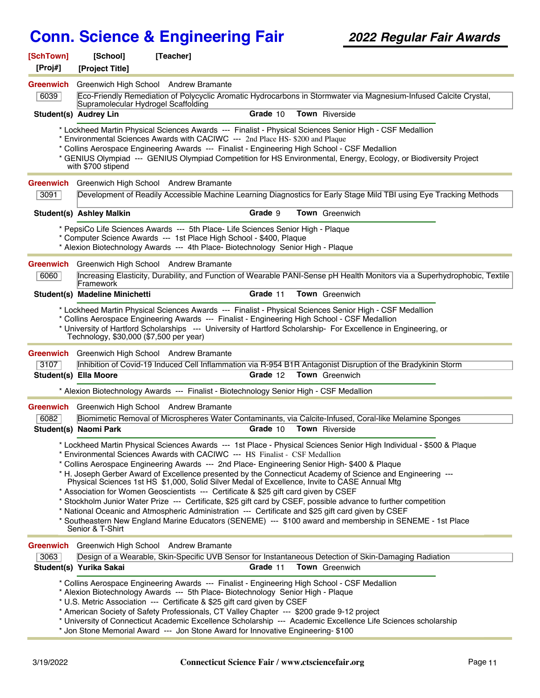| [SchTown]        | [School]                                | [Teacher]                                                                                                                                                                                                                                   |          |                                                                                                                                                                                                                                                                                                                             |  |
|------------------|-----------------------------------------|---------------------------------------------------------------------------------------------------------------------------------------------------------------------------------------------------------------------------------------------|----------|-----------------------------------------------------------------------------------------------------------------------------------------------------------------------------------------------------------------------------------------------------------------------------------------------------------------------------|--|
| [Proj#]          | [Project Title]                         |                                                                                                                                                                                                                                             |          |                                                                                                                                                                                                                                                                                                                             |  |
| <b>Greenwich</b> |                                         | Greenwich High School Andrew Bramante                                                                                                                                                                                                       |          |                                                                                                                                                                                                                                                                                                                             |  |
| 6039             | Supramolecular Hydrogel Scaffolding     |                                                                                                                                                                                                                                             |          | Eco-Friendly Remediation of Polycyclic Aromatic Hydrocarbons in Stormwater via Magnesium-Infused Calcite Crystal,                                                                                                                                                                                                           |  |
|                  | <b>Student(s) Audrey Lin</b>            |                                                                                                                                                                                                                                             | Grade 10 | Town Riverside                                                                                                                                                                                                                                                                                                              |  |
|                  |                                         |                                                                                                                                                                                                                                             |          | * Lockheed Martin Physical Sciences Awards --- Finalist - Physical Sciences Senior High - CSF Medallion                                                                                                                                                                                                                     |  |
|                  |                                         | * Environmental Sciences Awards with CACIWC --- 2nd Place HS- \$200 and Plaque                                                                                                                                                              |          | * Collins Aerospace Engineering Awards --- Finalist - Engineering High School - CSF Medallion                                                                                                                                                                                                                               |  |
|                  | with \$700 stipend                      |                                                                                                                                                                                                                                             |          | * GENIUS Olympiad --- GENIUS Olympiad Competition for HS Environmental, Energy, Ecology, or Biodiversity Project                                                                                                                                                                                                            |  |
|                  |                                         | <b>Greenwich</b> Greenwich High School Andrew Bramante                                                                                                                                                                                      |          |                                                                                                                                                                                                                                                                                                                             |  |
| 3091             |                                         |                                                                                                                                                                                                                                             |          | Development of Readily Accessible Machine Learning Diagnostics for Early Stage Mild TBI using Eye Tracking Methods                                                                                                                                                                                                          |  |
|                  | <b>Student(s) Ashley Malkin</b>         |                                                                                                                                                                                                                                             | Grade 9  | <b>Town</b> Greenwich                                                                                                                                                                                                                                                                                                       |  |
|                  |                                         | * PepsiCo Life Sciences Awards --- 5th Place- Life Sciences Senior High - Plaque<br>* Computer Science Awards --- 1st Place High School - \$400, Plaque<br>* Alexion Biotechnology Awards --- 4th Place- Biotechnology Senior High - Plaque |          |                                                                                                                                                                                                                                                                                                                             |  |
|                  |                                         | <b>Greenwich</b> Greenwich High School Andrew Bramante                                                                                                                                                                                      |          |                                                                                                                                                                                                                                                                                                                             |  |
| 6060             | Framework                               |                                                                                                                                                                                                                                             |          | Increasing Elasticity, Durability, and Function of Wearable PANI-Sense pH Health Monitors via a Superhydrophobic, Textile                                                                                                                                                                                                   |  |
|                  | Student(s) Madeline Minichetti          |                                                                                                                                                                                                                                             | Grade 11 | Town Greenwich                                                                                                                                                                                                                                                                                                              |  |
|                  | Technology, \$30,000 (\$7,500 per year) |                                                                                                                                                                                                                                             |          | * Lockheed Martin Physical Sciences Awards --- Finalist - Physical Sciences Senior High - CSF Medallion<br>* Collins Aerospace Engineering Awards --- Finalist - Engineering High School - CSF Medallion<br>* University of Hartford Scholarships --- University of Hartford Scholarship- For Excellence in Engineering, or |  |
| <b>Greenwich</b> |                                         | Greenwich High School Andrew Bramante                                                                                                                                                                                                       |          |                                                                                                                                                                                                                                                                                                                             |  |
| 3107             |                                         |                                                                                                                                                                                                                                             |          | Inhibition of Covid-19 Induced Cell Inflammation via R-954 B1R Antagonist Disruption of the Bradykinin Storm                                                                                                                                                                                                                |  |
|                  | Student(s) Ella Moore                   |                                                                                                                                                                                                                                             | Grade 12 | <b>Town</b> Greenwich                                                                                                                                                                                                                                                                                                       |  |
|                  |                                         | * Alexion Biotechnology Awards --- Finalist - Biotechnology Senior High - CSF Medallion                                                                                                                                                     |          |                                                                                                                                                                                                                                                                                                                             |  |
| <b>Greenwich</b> |                                         | Greenwich High School Andrew Bramante                                                                                                                                                                                                       |          |                                                                                                                                                                                                                                                                                                                             |  |
| 6082             |                                         |                                                                                                                                                                                                                                             |          | Biomimetic Removal of Microspheres Water Contaminants, via Calcite-Infused, Coral-like Melamine Sponges                                                                                                                                                                                                                     |  |
|                  | Student(s) Naomi Park                   |                                                                                                                                                                                                                                             | Grade 10 | <b>Town</b> Riverside                                                                                                                                                                                                                                                                                                       |  |
|                  |                                         | * Environmental Sciences Awards with CACIWC --- HS Finalist - CSF Medallion                                                                                                                                                                 |          | * Lockheed Martin Physical Sciences Awards --- 1st Place - Physical Sciences Senior High Individual - \$500 & Plaque                                                                                                                                                                                                        |  |
|                  |                                         |                                                                                                                                                                                                                                             |          | * Collins Aerospace Engineering Awards --- 2nd Place- Engineering Senior High- \$400 & Plaque<br>* H. Joseph Gerber Award of Excellence presented by the Connecticut Academy of Science and Engineering ---                                                                                                                 |  |
|                  |                                         |                                                                                                                                                                                                                                             |          | Physical Sciences 1st HS \$1,000, Solid Silver Medal of Excellence, Invite to CASE Annual Mtg                                                                                                                                                                                                                               |  |
|                  |                                         | * Association for Women Geoscientists --- Certificate & \$25 gift card given by CSEF                                                                                                                                                        |          | * Stockholm Junior Water Prize --- Certificate, \$25 gift card by CSEF, possible advance to further competition                                                                                                                                                                                                             |  |
|                  |                                         |                                                                                                                                                                                                                                             |          | * National Oceanic and Atmospheric Administration --- Certificate and \$25 gift card given by CSEF                                                                                                                                                                                                                          |  |
|                  | Senior & T-Shirt                        |                                                                                                                                                                                                                                             |          | * Southeastern New England Marine Educators (SENEME) --- \$100 award and membership in SENEME - 1st Place                                                                                                                                                                                                                   |  |
|                  |                                         | <b>Greenwich</b> Greenwich High School Andrew Bramante                                                                                                                                                                                      |          |                                                                                                                                                                                                                                                                                                                             |  |
| 3063             |                                         |                                                                                                                                                                                                                                             |          | Design of a Wearable, Skin-Specific UVB Sensor for Instantaneous Detection of Skin-Damaging Radiation                                                                                                                                                                                                                       |  |
|                  | Student(s) Yurika Sakai                 |                                                                                                                                                                                                                                             | Grade 11 | <b>Town</b> Greenwich                                                                                                                                                                                                                                                                                                       |  |
|                  |                                         | * Alexion Biotechnology Awards --- 5th Place- Biotechnology Senior High - Plaque                                                                                                                                                            |          | * Collins Aerospace Engineering Awards --- Finalist - Engineering High School - CSF Medallion                                                                                                                                                                                                                               |  |
|                  |                                         | * U.S. Metric Association --- Certificate & \$25 gift card given by CSEF                                                                                                                                                                    |          |                                                                                                                                                                                                                                                                                                                             |  |
|                  |                                         | * American Society of Safety Professionals, CT Valley Chapter --- \$200 grade 9-12 project                                                                                                                                                  |          |                                                                                                                                                                                                                                                                                                                             |  |
|                  |                                         | * Jon Stone Memorial Award --- Jon Stone Award for Innovative Engineering- \$100                                                                                                                                                            |          | * University of Connecticut Academic Excellence Scholarship --- Academic Excellence Life Sciences scholarship                                                                                                                                                                                                               |  |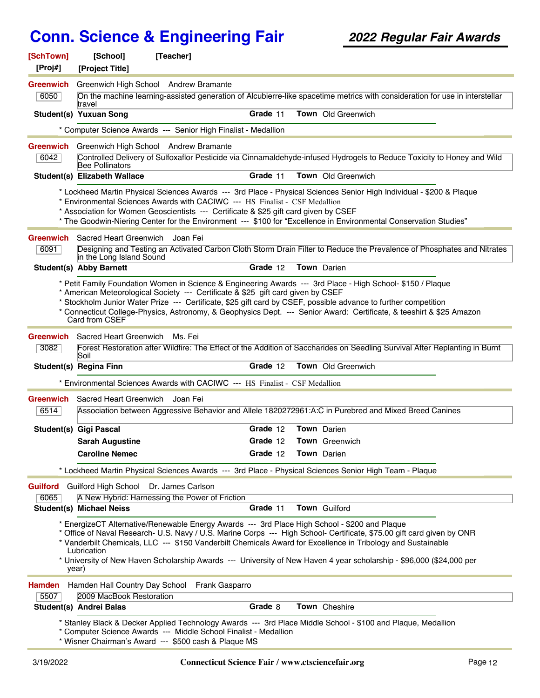| [SchTown]<br>[Proj#] | [School]<br>[Project Title]            | [Teacher]                                                                                                                                                           |          |                                                                                                                                                                                                                                                                                                                                                                                                                                                                 |  |
|----------------------|----------------------------------------|---------------------------------------------------------------------------------------------------------------------------------------------------------------------|----------|-----------------------------------------------------------------------------------------------------------------------------------------------------------------------------------------------------------------------------------------------------------------------------------------------------------------------------------------------------------------------------------------------------------------------------------------------------------------|--|
| Greenwich<br>6050    | travel                                 | Greenwich High School Andrew Bramante                                                                                                                               |          | On the machine learning-assisted generation of Alcubierre-like spacetime metrics with consideration for use in interstellar                                                                                                                                                                                                                                                                                                                                     |  |
|                      | <b>Student(s) Yuxuan Song</b>          |                                                                                                                                                                     | Grade 11 | Town Old Greenwich                                                                                                                                                                                                                                                                                                                                                                                                                                              |  |
|                      |                                        | * Computer Science Awards --- Senior High Finalist - Medallion                                                                                                      |          |                                                                                                                                                                                                                                                                                                                                                                                                                                                                 |  |
| Greenwich            |                                        | Greenwich High School Andrew Bramante                                                                                                                               |          |                                                                                                                                                                                                                                                                                                                                                                                                                                                                 |  |
| 6042                 | Bee Pollinators                        |                                                                                                                                                                     |          | Controlled Delivery of Sulfoxaflor Pesticide via Cinnamaldehyde-infused Hydrogels to Reduce Toxicity to Honey and Wild                                                                                                                                                                                                                                                                                                                                          |  |
|                      | Student(s) Elizabeth Wallace           |                                                                                                                                                                     | Grade 11 | Town Old Greenwich                                                                                                                                                                                                                                                                                                                                                                                                                                              |  |
|                      |                                        | * Environmental Sciences Awards with CACIWC --- HS Finalist - CSF Medallion<br>* Association for Women Geoscientists --- Certificate & \$25 gift card given by CSEF |          | * Lockheed Martin Physical Sciences Awards --- 3rd Place - Physical Sciences Senior High Individual - \$200 & Plaque<br>* The Goodwin-Niering Center for the Environment --- \$100 for "Excellence in Environmental Conservation Studies"                                                                                                                                                                                                                       |  |
| Greenwich            | Sacred Heart Greenwich Joan Fei        |                                                                                                                                                                     |          |                                                                                                                                                                                                                                                                                                                                                                                                                                                                 |  |
| 6091                 | in the Long Island Sound               |                                                                                                                                                                     |          | Designing and Testing an Activated Carbon Cloth Storm Drain Filter to Reduce the Prevalence of Phosphates and Nitrates                                                                                                                                                                                                                                                                                                                                          |  |
|                      | <b>Student(s) Abby Barnett</b>         |                                                                                                                                                                     | Grade 12 | <b>Town</b> Darien                                                                                                                                                                                                                                                                                                                                                                                                                                              |  |
|                      | Card from CSEF                         | * American Meteorological Society --- Certificate & \$25 gift card given by CSEF                                                                                    |          | * Petit Family Foundation Women in Science & Engineering Awards --- 3rd Place - High School- \$150 / Plaque<br>* Stockholm Junior Water Prize --- Certificate, \$25 gift card by CSEF, possible advance to further competition<br>* Connecticut College-Physics, Astronomy, & Geophysics Dept. --- Senior Award: Certificate, & teeshirt & \$25 Amazon                                                                                                          |  |
| Greenwich            | Sacred Heart Greenwich Ms. Fei         |                                                                                                                                                                     |          |                                                                                                                                                                                                                                                                                                                                                                                                                                                                 |  |
| 3082                 | Soil                                   |                                                                                                                                                                     |          | Forest Restoration after Wildfire: The Effect of the Addition of Saccharides on Seedling Survival After Replanting in Burnt                                                                                                                                                                                                                                                                                                                                     |  |
|                      | Student(s) Regina Finn                 |                                                                                                                                                                     | Grade 12 | <b>Town</b> Old Greenwich                                                                                                                                                                                                                                                                                                                                                                                                                                       |  |
|                      |                                        | * Environmental Sciences Awards with CACIWC --- HS Finalist - CSF Medallion                                                                                         |          |                                                                                                                                                                                                                                                                                                                                                                                                                                                                 |  |
| <b>Greenwich</b>     | Sacred Heart Greenwich Joan Fei        |                                                                                                                                                                     |          |                                                                                                                                                                                                                                                                                                                                                                                                                                                                 |  |
| 6514                 |                                        |                                                                                                                                                                     |          | Association between Aggressive Behavior and Allele 1820272961:A:C in Purebred and Mixed Breed Canines                                                                                                                                                                                                                                                                                                                                                           |  |
|                      | <b>Student(s) Gigi Pascal</b>          |                                                                                                                                                                     | Grade 12 | <b>Town</b> Darien                                                                                                                                                                                                                                                                                                                                                                                                                                              |  |
|                      | <b>Sarah Augustine</b>                 |                                                                                                                                                                     | Grade 12 | <b>Town</b> Greenwich                                                                                                                                                                                                                                                                                                                                                                                                                                           |  |
|                      | <b>Caroline Nemec</b>                  |                                                                                                                                                                     | Grade 12 | Town Darien                                                                                                                                                                                                                                                                                                                                                                                                                                                     |  |
|                      |                                        |                                                                                                                                                                     |          | * Lockheed Martin Physical Sciences Awards --- 3rd Place - Physical Sciences Senior High Team - Plaque                                                                                                                                                                                                                                                                                                                                                          |  |
| <b>Guilford</b>      | Guilford High School Dr. James Carlson |                                                                                                                                                                     |          |                                                                                                                                                                                                                                                                                                                                                                                                                                                                 |  |
| 6065                 | <b>Student(s) Michael Neiss</b>        | A New Hybrid: Harnessing the Power of Friction                                                                                                                      | Grade 11 | Town Guilford                                                                                                                                                                                                                                                                                                                                                                                                                                                   |  |
|                      | Lubrication<br>year)                   |                                                                                                                                                                     |          | * EnergizeCT Alternative/Renewable Energy Awards --- 3rd Place High School - \$200 and Plaque<br>* Office of Naval Research- U.S. Navy / U.S. Marine Corps --- High School- Certificate, \$75.00 gift card given by ONR<br>* Vanderbilt Chemicals, LLC --- \$150 Vanderbilt Chemicals Award for Excellence in Tribology and Sustainable<br>* University of New Haven Scholarship Awards --- University of New Haven 4 year scholarship - \$96,000 (\$24,000 per |  |
| <b>Hamden</b>        | Hamden Hall Country Day School         | Frank Gasparro                                                                                                                                                      |          |                                                                                                                                                                                                                                                                                                                                                                                                                                                                 |  |
| 5507                 | 2009 MacBook Restoration               |                                                                                                                                                                     |          |                                                                                                                                                                                                                                                                                                                                                                                                                                                                 |  |
|                      | Student(s) Andrei Balas                |                                                                                                                                                                     | Grade 8  | Town Cheshire                                                                                                                                                                                                                                                                                                                                                                                                                                                   |  |
|                      |                                        | * Computer Science Awards --- Middle School Finalist - Medallion<br>* Wisner Chairman's Award --- \$500 cash & Plaque MS                                            |          | * Stanley Black & Decker Applied Technology Awards --- 3rd Place Middle School - \$100 and Plaque, Medallion                                                                                                                                                                                                                                                                                                                                                    |  |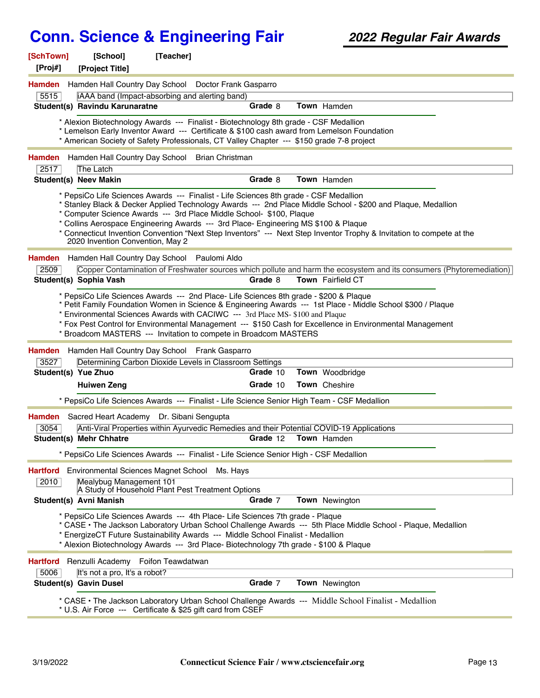| [SchTown]<br>[Proj#] | [School]<br>[Project Title]              | [Teacher]                                                                                                                                                                                                                                                  |          |                                                                                                                                                                                                                                       |  |
|----------------------|------------------------------------------|------------------------------------------------------------------------------------------------------------------------------------------------------------------------------------------------------------------------------------------------------------|----------|---------------------------------------------------------------------------------------------------------------------------------------------------------------------------------------------------------------------------------------|--|
| <b>Hamden</b>        |                                          | Hamden Hall Country Day School Doctor Frank Gasparro                                                                                                                                                                                                       |          |                                                                                                                                                                                                                                       |  |
| 5515                 |                                          | iAAA band (Impact-absorbing and alerting band)                                                                                                                                                                                                             |          |                                                                                                                                                                                                                                       |  |
|                      | Student(s) Ravindu Karunaratne           |                                                                                                                                                                                                                                                            | Grade 8  | Town Hamden                                                                                                                                                                                                                           |  |
|                      |                                          | * Alexion Biotechnology Awards --- Finalist - Biotechnology 8th grade - CSF Medallion<br>* American Society of Safety Professionals, CT Valley Chapter --- \$150 grade 7-8 project                                                                         |          | * Lemelson Early Inventor Award --- Certificate & \$100 cash award from Lemelson Foundation                                                                                                                                           |  |
| <b>Hamden</b>        |                                          | Hamden Hall Country Day School Brian Christman                                                                                                                                                                                                             |          |                                                                                                                                                                                                                                       |  |
| 2517                 | The Latch                                |                                                                                                                                                                                                                                                            |          |                                                                                                                                                                                                                                       |  |
|                      | <b>Student(s) Neev Makin</b>             |                                                                                                                                                                                                                                                            | Grade 8  | Town Hamden                                                                                                                                                                                                                           |  |
|                      | 2020 Invention Convention, May 2         | * PepsiCo Life Sciences Awards --- Finalist - Life Sciences 8th grade - CSF Medallion<br>* Computer Science Awards --- 3rd Place Middle School- \$100, Plaque<br>* Collins Aerospace Engineering Awards --- 3rd Place- Engineering MS \$100 & Plaque       |          | * Stanley Black & Decker Applied Technology Awards --- 2nd Place Middle School - \$200 and Plaque, Medallion<br>* Connecticut Invention Convention "Next Step Inventors" --- Next Step Inventor Trophy & Invitation to compete at the |  |
| <b>Hamden</b>        |                                          | Hamden Hall Country Day School Paulomi Aldo                                                                                                                                                                                                                |          |                                                                                                                                                                                                                                       |  |
| 2509                 |                                          |                                                                                                                                                                                                                                                            |          | Copper Contamination of Freshwater sources which pollute and harm the ecosystem and its consumers (Phytoremediation)                                                                                                                  |  |
|                      | Student(s) Sophia Vash                   |                                                                                                                                                                                                                                                            | Grade 8  | Town Fairfield CT                                                                                                                                                                                                                     |  |
| <b>Hamden</b>        |                                          | Environmental Sciences Awards with CACIWC --- 3rd Place MS-\$100 and Plaque<br>* Broadcom MASTERS --- Invitation to compete in Broadcom MASTERS<br>Hamden Hall Country Day School Frank Gasparro                                                           |          | * Fox Pest Control for Environmental Management --- \$150 Cash for Excellence in Environmental Management                                                                                                                             |  |
| 3527                 |                                          | Determining Carbon Dioxide Levels in Classroom Settings                                                                                                                                                                                                    |          |                                                                                                                                                                                                                                       |  |
|                      | Student(s) Yue Zhuo                      |                                                                                                                                                                                                                                                            | Grade 10 | Town Woodbridge                                                                                                                                                                                                                       |  |
|                      | <b>Huiwen Zeng</b>                       |                                                                                                                                                                                                                                                            | Grade 10 | <b>Town</b> Cheshire                                                                                                                                                                                                                  |  |
|                      |                                          |                                                                                                                                                                                                                                                            |          | * PepsiCo Life Sciences Awards --- Finalist - Life Science Senior High Team - CSF Medallion                                                                                                                                           |  |
| Hamden               | Sacred Heart Academy Dr. Sibani Sengupta |                                                                                                                                                                                                                                                            |          |                                                                                                                                                                                                                                       |  |
| 3054                 |                                          |                                                                                                                                                                                                                                                            |          | Anti-Viral Properties within Ayurvedic Remedies and their Potential COVID-19 Applications                                                                                                                                             |  |
|                      | Student(s) Mehr Chhatre                  |                                                                                                                                                                                                                                                            | Grade 12 | Town Hamden                                                                                                                                                                                                                           |  |
|                      |                                          | * PepsiCo Life Sciences Awards --- Finalist - Life Science Senior High - CSF Medallion                                                                                                                                                                     |          |                                                                                                                                                                                                                                       |  |
| Hartford             | Environmental Sciences Magnet School     | Ms. Hays                                                                                                                                                                                                                                                   |          |                                                                                                                                                                                                                                       |  |
| 2010                 | Mealybug Management 101                  | A Study of Household Plant Pest Treatment Options                                                                                                                                                                                                          |          |                                                                                                                                                                                                                                       |  |
|                      | Student(s) Avni Manish                   |                                                                                                                                                                                                                                                            | Grade 7  | Town Newington                                                                                                                                                                                                                        |  |
|                      |                                          | * PepsiCo Life Sciences Awards --- 4th Place- Life Sciences 7th grade - Plaque<br>EnergizeCT Future Sustainability Awards --- Middle School Finalist - Medallion<br>* Alexion Biotechnology Awards --- 3rd Place- Biotechnology 7th grade - \$100 & Plaque |          | * CASE · The Jackson Laboratory Urban School Challenge Awards --- 5th Place Middle School - Plaque, Medallion                                                                                                                         |  |
| <b>Hartford</b>      | Renzulli Academy Foifon Teawdatwan       |                                                                                                                                                                                                                                                            |          |                                                                                                                                                                                                                                       |  |
| 5006                 | It's not a pro, It's a robot?            |                                                                                                                                                                                                                                                            |          |                                                                                                                                                                                                                                       |  |
|                      | <b>Student(s) Gavin Dusel</b>            |                                                                                                                                                                                                                                                            | Grade 7  | Town Newington                                                                                                                                                                                                                        |  |
|                      |                                          | * U.S. Air Force --- Certificate & \$25 gift card from CSEF                                                                                                                                                                                                |          | * CASE · The Jackson Laboratory Urban School Challenge Awards --- Middle School Finalist - Medallion                                                                                                                                  |  |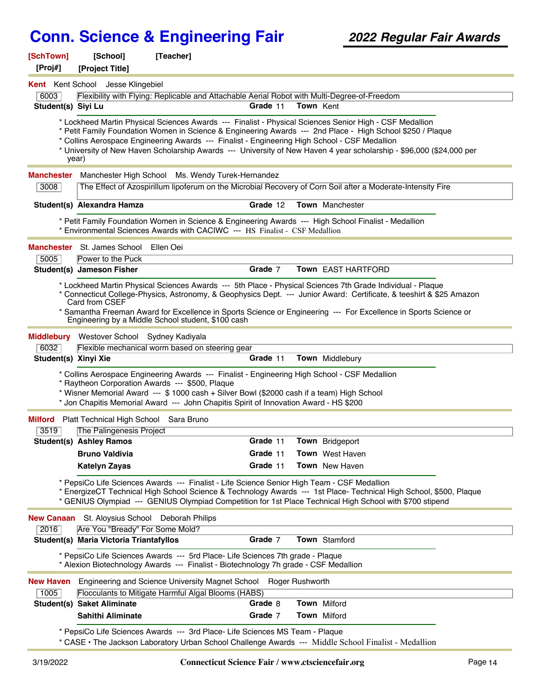| [SchTown]<br>[Proj#]    | [School]<br>[Project Title]                            | [Teacher]                                                                                                                                                                                                                                                                                                                               |                    |                  |                                                                                                                                                                                                                                                                                                                                                        |  |
|-------------------------|--------------------------------------------------------|-----------------------------------------------------------------------------------------------------------------------------------------------------------------------------------------------------------------------------------------------------------------------------------------------------------------------------------------|--------------------|------------------|--------------------------------------------------------------------------------------------------------------------------------------------------------------------------------------------------------------------------------------------------------------------------------------------------------------------------------------------------------|--|
| <b>Kent</b> Kent School | Jesse Klingebiel                                       |                                                                                                                                                                                                                                                                                                                                         |                    |                  |                                                                                                                                                                                                                                                                                                                                                        |  |
| 6003                    |                                                        | Flexibility with Flying: Replicable and Attachable Aerial Robot with Multi-Degree-of-Freedom                                                                                                                                                                                                                                            |                    |                  |                                                                                                                                                                                                                                                                                                                                                        |  |
| Student(s) Siyi Lu      |                                                        |                                                                                                                                                                                                                                                                                                                                         | Grade 11           | <b>Town Kent</b> |                                                                                                                                                                                                                                                                                                                                                        |  |
|                         | year)                                                  | * Collins Aerospace Engineering Awards --- Finalist - Engineering High School - CSF Medallion                                                                                                                                                                                                                                           |                    |                  | * Lockheed Martin Physical Sciences Awards --- Finalist - Physical Sciences Senior High - CSF Medallion<br>* Petit Family Foundation Women in Science & Engineering Awards --- 2nd Place - High School \$250 / Plaque<br>* University of New Haven Scholarship Awards --- University of New Haven 4 year scholarship - \$96,000 (\$24,000 per          |  |
| <b>Manchester</b>       |                                                        | Manchester High School Ms. Wendy Turek-Hernandez                                                                                                                                                                                                                                                                                        |                    |                  |                                                                                                                                                                                                                                                                                                                                                        |  |
| 3008                    |                                                        |                                                                                                                                                                                                                                                                                                                                         |                    |                  | The Effect of Azospirillum lipoferum on the Microbial Recovery of Corn Soil after a Moderate-Intensity Fire                                                                                                                                                                                                                                            |  |
|                         | Student(s) Alexandra Hamza                             |                                                                                                                                                                                                                                                                                                                                         | Grade 12           |                  | <b>Town</b> Manchester                                                                                                                                                                                                                                                                                                                                 |  |
|                         |                                                        | * Environmental Sciences Awards with CACIWC --- HS Finalist - CSF Medallion                                                                                                                                                                                                                                                             |                    |                  | * Petit Family Foundation Women in Science & Engineering Awards --- High School Finalist - Medallion                                                                                                                                                                                                                                                   |  |
| Manchester              | St. James School Ellen Oei                             |                                                                                                                                                                                                                                                                                                                                         |                    |                  |                                                                                                                                                                                                                                                                                                                                                        |  |
| 5005                    | Power to the Puck                                      |                                                                                                                                                                                                                                                                                                                                         |                    |                  |                                                                                                                                                                                                                                                                                                                                                        |  |
|                         | Student(s) Jameson Fisher                              |                                                                                                                                                                                                                                                                                                                                         | Grade 7            |                  | Town EAST HARTFORD                                                                                                                                                                                                                                                                                                                                     |  |
|                         | Card from CSEF                                         | Engineering by a Middle School student, \$100 cash                                                                                                                                                                                                                                                                                      |                    |                  | * Lockheed Martin Physical Sciences Awards --- 5th Place - Physical Sciences 7th Grade Individual - Plaque<br>* Connecticut College-Physics, Astronomy, & Geophysics Dept. --- Junior Award: Certificate, & teeshirt & \$25 Amazon<br>* Samantha Freeman Award for Excellence in Sports Science or Engineering --- For Excellence in Sports Science or |  |
|                         | Middlebury Westover School Sydney Kadiyala             |                                                                                                                                                                                                                                                                                                                                         |                    |                  |                                                                                                                                                                                                                                                                                                                                                        |  |
| 6032                    |                                                        | Flexible mechanical worm based on steering gear                                                                                                                                                                                                                                                                                         |                    |                  |                                                                                                                                                                                                                                                                                                                                                        |  |
| Student(s) Xinyi Xie    |                                                        |                                                                                                                                                                                                                                                                                                                                         | Grade 11           |                  | Town Middlebury                                                                                                                                                                                                                                                                                                                                        |  |
|                         |                                                        | * Collins Aerospace Engineering Awards --- Finalist - Engineering High School - CSF Medallion<br>* Raytheon Corporation Awards --- \$500, Plaque<br>* Wisner Memorial Award --- \$ 1000 cash + Silver Bowl (\$2000 cash if a team) High School<br>* Jon Chapitis Memorial Award --- John Chapitis Spirit of Innovation Award - HS \$200 |                    |                  |                                                                                                                                                                                                                                                                                                                                                        |  |
|                         | Milford Platt Technical High School Sara Bruno         |                                                                                                                                                                                                                                                                                                                                         |                    |                  |                                                                                                                                                                                                                                                                                                                                                        |  |
| 3519                    | The Palingenesis Project                               |                                                                                                                                                                                                                                                                                                                                         |                    |                  |                                                                                                                                                                                                                                                                                                                                                        |  |
|                         | <b>Student(s) Ashley Ramos</b>                         |                                                                                                                                                                                                                                                                                                                                         | Grade 11           |                  | <b>Town</b> Bridgeport                                                                                                                                                                                                                                                                                                                                 |  |
|                         | <b>Bruno Valdivia</b>                                  |                                                                                                                                                                                                                                                                                                                                         | Grade 11           |                  | <b>Town</b> West Haven                                                                                                                                                                                                                                                                                                                                 |  |
|                         | <b>Katelyn Zayas</b>                                   |                                                                                                                                                                                                                                                                                                                                         | Grade 11           |                  | Town New Haven                                                                                                                                                                                                                                                                                                                                         |  |
|                         |                                                        | PepsiCo Life Sciences Awards --- Finalist - Life Science Senior High Team - CSF Medallion                                                                                                                                                                                                                                               |                    |                  | * EnergizeCT Technical High School Science & Technology Awards --- 1st Place- Technical High School, \$500, Plaque<br>* GENIUS Olympiad --- GENIUS Olympiad Competition for 1st Place Technical High School with \$700 stipend                                                                                                                         |  |
| <b>New Canaan</b>       | St. Aloysius School Deborah Philips                    |                                                                                                                                                                                                                                                                                                                                         |                    |                  |                                                                                                                                                                                                                                                                                                                                                        |  |
| 2016                    | Are You "Bready" For Some Mold?                        |                                                                                                                                                                                                                                                                                                                                         |                    |                  |                                                                                                                                                                                                                                                                                                                                                        |  |
|                         | Student(s) Maria Victoria Triantafyllos                |                                                                                                                                                                                                                                                                                                                                         | Grade 7            |                  | Town Stamford                                                                                                                                                                                                                                                                                                                                          |  |
|                         |                                                        | * PepsiCo Life Sciences Awards --- 5rd Place- Life Sciences 7th grade - Plaque<br>* Alexion Biotechnology Awards --- Finalist - Biotechnology 7h grade - CSF Medallion                                                                                                                                                                  |                    |                  |                                                                                                                                                                                                                                                                                                                                                        |  |
| <b>New Haven</b>        |                                                        | Engineering and Science University Magnet School                                                                                                                                                                                                                                                                                        | Roger Rushworth    |                  |                                                                                                                                                                                                                                                                                                                                                        |  |
| 1005                    |                                                        | Flocculants to Mitigate Harmful Algal Blooms (HABS)                                                                                                                                                                                                                                                                                     |                    |                  |                                                                                                                                                                                                                                                                                                                                                        |  |
|                         | <b>Student(s) Saket Aliminate</b><br>Sahithi Aliminate |                                                                                                                                                                                                                                                                                                                                         | Grade 8<br>Grade 7 |                  | Town Milford<br><b>Town Milford</b>                                                                                                                                                                                                                                                                                                                    |  |
|                         |                                                        |                                                                                                                                                                                                                                                                                                                                         |                    |                  |                                                                                                                                                                                                                                                                                                                                                        |  |
|                         |                                                        | * PepsiCo Life Sciences Awards --- 3rd Place- Life Sciences MS Team - Plaque                                                                                                                                                                                                                                                            |                    |                  | * CASE • The Jackson Laboratory Urban School Challenge Awards --- Middle School Finalist - Medallion                                                                                                                                                                                                                                                   |  |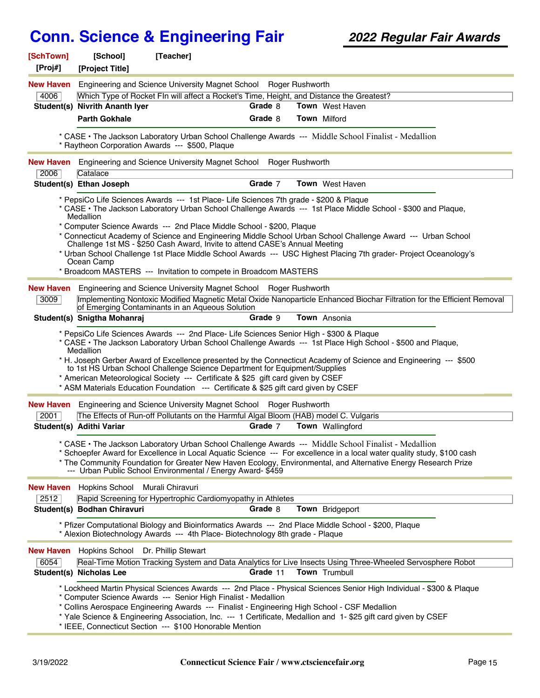| [SchTown]<br>[Proj#] | [School]<br>[Project Title]        | [Teacher]                                                                                                                                                                                                                                             |          |                                                                                                                                                                                                                                                                                                                                                   |  |
|----------------------|------------------------------------|-------------------------------------------------------------------------------------------------------------------------------------------------------------------------------------------------------------------------------------------------------|----------|---------------------------------------------------------------------------------------------------------------------------------------------------------------------------------------------------------------------------------------------------------------------------------------------------------------------------------------------------|--|
| New Haven            |                                    | Engineering and Science University Magnet School Roger Rushworth                                                                                                                                                                                      |          |                                                                                                                                                                                                                                                                                                                                                   |  |
| 4006                 |                                    | Which Type of Rocket FIn will affect a Rocket's Time, Height, and Distance the Greatest?                                                                                                                                                              |          |                                                                                                                                                                                                                                                                                                                                                   |  |
|                      | Student(s) Nivrith Ananth Iyer     |                                                                                                                                                                                                                                                       | Grade 8  | <b>Town</b> West Haven                                                                                                                                                                                                                                                                                                                            |  |
|                      | <b>Parth Gokhale</b>               |                                                                                                                                                                                                                                                       | Grade 8  | <b>Town Milford</b>                                                                                                                                                                                                                                                                                                                               |  |
|                      |                                    | * Raytheon Corporation Awards --- \$500, Plaque                                                                                                                                                                                                       |          | * CASE • The Jackson Laboratory Urban School Challenge Awards --- Middle School Finalist - Medallion                                                                                                                                                                                                                                              |  |
| <b>New Haven</b>     |                                    | Engineering and Science University Magnet School Roger Rushworth                                                                                                                                                                                      |          |                                                                                                                                                                                                                                                                                                                                                   |  |
| 2006                 | Catalace                           |                                                                                                                                                                                                                                                       | Grade 7  |                                                                                                                                                                                                                                                                                                                                                   |  |
|                      | Student(s) Ethan Joseph            |                                                                                                                                                                                                                                                       |          | <b>Town</b> West Haven                                                                                                                                                                                                                                                                                                                            |  |
|                      | Medallion<br>Ocean Camp            | * PepsiCo Life Sciences Awards --- 1st Place- Life Sciences 7th grade - \$200 & Plaque<br>* Computer Science Awards --- 2nd Place Middle School - \$200, Plaque<br>Challenge 1st MS - \$250 Cash Award, Invite to attend CASE's Annual Meeting        |          | * CASE • The Jackson Laboratory Urban School Challenge Awards --- 1st Place Middle School - \$300 and Plaque,<br>* Connecticut Academy of Science and Engineering Middle School Urban School Challenge Award --- Urban School<br>* Urban School Challenge 1st Place Middle School Awards --- USC Highest Placing 7th grader- Project Oceanology's |  |
|                      |                                    | * Broadcom MASTERS --- Invitation to compete in Broadcom MASTERS                                                                                                                                                                                      |          |                                                                                                                                                                                                                                                                                                                                                   |  |
| <b>New Haven</b>     |                                    | Engineering and Science University Magnet School Roger Rushworth                                                                                                                                                                                      |          |                                                                                                                                                                                                                                                                                                                                                   |  |
| 3009                 |                                    | of Emerging Contaminants in an Aqueous Solution                                                                                                                                                                                                       |          | Implementing Nontoxic Modified Magnetic Metal Oxide Nanoparticle Enhanced Biochar Filtration for the Efficient Removal                                                                                                                                                                                                                            |  |
|                      | Student(s) Snigtha Mohanraj        |                                                                                                                                                                                                                                                       | Grade 9  | Town Ansonia                                                                                                                                                                                                                                                                                                                                      |  |
|                      | Medallion                          | to 1st HS Urban School Challenge Science Department for Equipment/Supplies<br>* American Meteorological Society --- Certificate & \$25 gift card given by CSEF<br>* ASM Materials Education Foundation --- Certificate & \$25 gift card given by CSEF |          | * CASE • The Jackson Laboratory Urban School Challenge Awards --- 1st Place High School - \$500 and Plaque,<br>* H. Joseph Gerber Award of Excellence presented by the Connecticut Academy of Science and Engineering --- \$500                                                                                                                   |  |
| New Haven            |                                    | Engineering and Science University Magnet School Roger Rushworth                                                                                                                                                                                      |          |                                                                                                                                                                                                                                                                                                                                                   |  |
| 2001                 |                                    | The Effects of Run-off Pollutants on the Harmful Algal Bloom (HAB) model C. Vulgaris                                                                                                                                                                  |          |                                                                                                                                                                                                                                                                                                                                                   |  |
|                      | Student(s) Adithi Variar           |                                                                                                                                                                                                                                                       | Grade 7  | <b>Town</b> Wallingford                                                                                                                                                                                                                                                                                                                           |  |
|                      |                                    | --- Urban Public School Environmental / Energy Award- \$459                                                                                                                                                                                           |          | * CASE · The Jackson Laboratory Urban School Challenge Awards --- Middle School Finalist - Medallion<br>* Schoepfer Award for Excellence in Local Aquatic Science --- For excellence in a local water quality study, \$100 cash<br>* The Community Foundation for Greater New Haven Ecology, Environmental, and Alternative Energy Research Prize |  |
| <b>New Haven</b>     | Hopkins School Murali Chiravuri    |                                                                                                                                                                                                                                                       |          |                                                                                                                                                                                                                                                                                                                                                   |  |
| 2512                 |                                    | Rapid Screening for Hypertrophic Cardiomyopathy in Athletes                                                                                                                                                                                           |          |                                                                                                                                                                                                                                                                                                                                                   |  |
|                      | Student(s) Bodhan Chiravuri        |                                                                                                                                                                                                                                                       | Grade 8  | Town Bridgeport                                                                                                                                                                                                                                                                                                                                   |  |
|                      |                                    | * Alexion Biotechnology Awards --- 4th Place- Biotechnology 8th grade - Plaque                                                                                                                                                                        |          | * Pfizer Computational Biology and Bioinformatics Awards --- 2nd Place Middle School - \$200, Plaque                                                                                                                                                                                                                                              |  |
| <b>New Haven</b>     | Hopkins School Dr. Phillip Stewart |                                                                                                                                                                                                                                                       |          |                                                                                                                                                                                                                                                                                                                                                   |  |
| 6054                 |                                    |                                                                                                                                                                                                                                                       |          | Real-Time Motion Tracking System and Data Analytics for Live Insects Using Three-Wheeled Servosphere Robot                                                                                                                                                                                                                                        |  |
|                      | Student(s) Nicholas Lee            |                                                                                                                                                                                                                                                       | Grade 11 | Town Trumbull                                                                                                                                                                                                                                                                                                                                     |  |
|                      |                                    | * Computer Science Awards --- Senior High Finalist - Medallion<br>* Collins Aerospace Engineering Awards --- Finalist - Engineering High School - CSF Medallion<br>* IEEE, Connecticut Section --- \$100 Honorable Mention                            |          | * Lockheed Martin Physical Sciences Awards --- 2nd Place - Physical Sciences Senior High Individual - \$300 & Plaque<br>* Yale Science & Engineering Association, Inc. --- 1 Certificate, Medallion and 1-\$25 gift card given by CSEF                                                                                                            |  |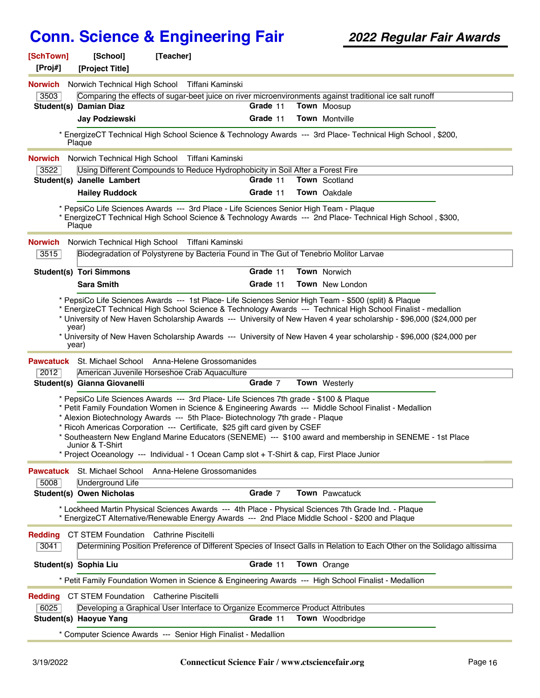| [SchTown]<br>[Proj#]   | [School]<br>[Project Title]             | [Teacher]                                                                                                                                                                                                                                                                                                                                           |          |                                                                                                                                                                                                                                              |  |
|------------------------|-----------------------------------------|-----------------------------------------------------------------------------------------------------------------------------------------------------------------------------------------------------------------------------------------------------------------------------------------------------------------------------------------------------|----------|----------------------------------------------------------------------------------------------------------------------------------------------------------------------------------------------------------------------------------------------|--|
| <b>Norwich</b>         |                                         | Norwich Technical High School Tiffani Kaminski                                                                                                                                                                                                                                                                                                      |          |                                                                                                                                                                                                                                              |  |
| 3503                   |                                         |                                                                                                                                                                                                                                                                                                                                                     |          | Comparing the effects of sugar-beet juice on river microenvironments against traditional ice salt runoff                                                                                                                                     |  |
|                        | <b>Student(s) Damian Diaz</b>           |                                                                                                                                                                                                                                                                                                                                                     | Grade 11 | Town Moosup                                                                                                                                                                                                                                  |  |
|                        | <b>Jay Podziewski</b>                   |                                                                                                                                                                                                                                                                                                                                                     | Grade 11 | <b>Town</b> Montville                                                                                                                                                                                                                        |  |
|                        | Plaque                                  |                                                                                                                                                                                                                                                                                                                                                     |          | * EnergizeCT Technical High School Science & Technology Awards --- 3rd Place- Technical High School, \$200,                                                                                                                                  |  |
| <b>Norwich</b>         |                                         | Norwich Technical High School Tiffani Kaminski                                                                                                                                                                                                                                                                                                      |          |                                                                                                                                                                                                                                              |  |
| 3522                   |                                         | Using Different Compounds to Reduce Hydrophobicity in Soil After a Forest Fire                                                                                                                                                                                                                                                                      |          |                                                                                                                                                                                                                                              |  |
|                        | Student(s) Janelle Lambert              |                                                                                                                                                                                                                                                                                                                                                     | Grade 11 | <b>Town</b> Scotland                                                                                                                                                                                                                         |  |
|                        | <b>Hailey Ruddock</b>                   |                                                                                                                                                                                                                                                                                                                                                     | Grade 11 | Town Oakdale                                                                                                                                                                                                                                 |  |
|                        | Plaque                                  | * PepsiCo Life Sciences Awards --- 3rd Place - Life Sciences Senior High Team - Plaque                                                                                                                                                                                                                                                              |          | * EnergizeCT Technical High School Science & Technology Awards --- 2nd Place- Technical High School, \$300,                                                                                                                                  |  |
| <b>Norwich</b>         |                                         | Norwich Technical High School Tiffani Kaminski                                                                                                                                                                                                                                                                                                      |          |                                                                                                                                                                                                                                              |  |
| 3515                   |                                         | Biodegradation of Polystyrene by Bacteria Found in The Gut of Tenebrio Molitor Larvae                                                                                                                                                                                                                                                               |          |                                                                                                                                                                                                                                              |  |
|                        | <b>Student(s) Tori Simmons</b>          |                                                                                                                                                                                                                                                                                                                                                     | Grade 11 | <b>Town Norwich</b>                                                                                                                                                                                                                          |  |
|                        | <b>Sara Smith</b>                       |                                                                                                                                                                                                                                                                                                                                                     | Grade 11 | Town New London                                                                                                                                                                                                                              |  |
|                        | year)<br>year)                          |                                                                                                                                                                                                                                                                                                                                                     |          | * University of New Haven Scholarship Awards --- University of New Haven 4 year scholarship - \$96,000 (\$24,000 per<br>* University of New Haven Scholarship Awards --- University of New Haven 4 year scholarship - \$96,000 (\$24,000 per |  |
|                        |                                         | <b>Pawcatuck</b> St. Michael School Anna-Helene Grossomanides                                                                                                                                                                                                                                                                                       |          |                                                                                                                                                                                                                                              |  |
| 2012                   |                                         | American Juvenile Horseshoe Crab Aquaculture                                                                                                                                                                                                                                                                                                        |          |                                                                                                                                                                                                                                              |  |
|                        | Student(s) Gianna Giovanelli            |                                                                                                                                                                                                                                                                                                                                                     | Grade 7  | Town Westerly                                                                                                                                                                                                                                |  |
|                        | Junior & T-Shirt                        | * PepsiCo Life Sciences Awards --- 3rd Place- Life Sciences 7th grade - \$100 & Plaque<br>* Alexion Biotechnology Awards --- 5th Place- Biotechnology 7th grade - Plaque<br>Ricoh Americas Corporation --- Certificate, \$25 gift card given by CSEF<br>* Project Oceanology --- Individual - 1 Ocean Camp slot + T-Shirt & cap, First Place Junior |          | * Petit Family Foundation Women in Science & Engineering Awards --- Middle School Finalist - Medallion<br>* Southeastern New England Marine Educators (SENEME) --- \$100 award and membership in SENEME - 1st Place                          |  |
| <b>Pawcatuck</b>       | St. Michael School                      | Anna-Helene Grossomanides                                                                                                                                                                                                                                                                                                                           |          |                                                                                                                                                                                                                                              |  |
| 5008                   | <b>Underground Life</b>                 |                                                                                                                                                                                                                                                                                                                                                     |          |                                                                                                                                                                                                                                              |  |
|                        | <b>Student(s) Owen Nicholas</b>         |                                                                                                                                                                                                                                                                                                                                                     | Grade 7  | <b>Town</b> Pawcatuck                                                                                                                                                                                                                        |  |
|                        |                                         | * EnergizeCT Alternative/Renewable Energy Awards --- 2nd Place Middle School - \$200 and Plaque                                                                                                                                                                                                                                                     |          | * Lockheed Martin Physical Sciences Awards --- 4th Place - Physical Sciences 7th Grade Ind. - Plaque                                                                                                                                         |  |
| <b>Redding</b><br>3041 | CT STEM Foundation Cathrine Piscitelli  |                                                                                                                                                                                                                                                                                                                                                     |          | Determining Position Preference of Different Species of Insect Galls in Relation to Each Other on the Solidago altissima                                                                                                                     |  |
|                        | Student(s) Sophia Liu                   |                                                                                                                                                                                                                                                                                                                                                     | Grade 11 | Town Orange                                                                                                                                                                                                                                  |  |
|                        |                                         |                                                                                                                                                                                                                                                                                                                                                     |          | * Petit Family Foundation Women in Science & Engineering Awards --- High School Finalist - Medallion                                                                                                                                         |  |
| <b>Redding</b>         | CT STEM Foundation Catherine Piscitelli |                                                                                                                                                                                                                                                                                                                                                     |          |                                                                                                                                                                                                                                              |  |
| 6025                   |                                         | Developing a Graphical User Interface to Organize Ecommerce Product Attributes                                                                                                                                                                                                                                                                      |          |                                                                                                                                                                                                                                              |  |
|                        | Student(s) Haoyue Yang                  |                                                                                                                                                                                                                                                                                                                                                     | Grade 11 | Town Woodbridge                                                                                                                                                                                                                              |  |
|                        |                                         | * Computer Science Awards --- Senior High Finalist - Medallion                                                                                                                                                                                                                                                                                      |          |                                                                                                                                                                                                                                              |  |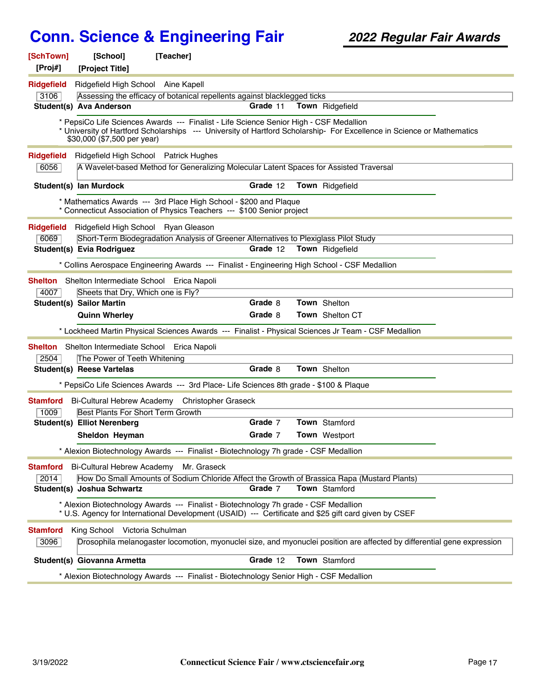| [SchTown]<br>[Proj#] | [School]<br>[Project Title]              | [Teacher]                                                                                                                                   |          |                                                                                                                         |  |
|----------------------|------------------------------------------|---------------------------------------------------------------------------------------------------------------------------------------------|----------|-------------------------------------------------------------------------------------------------------------------------|--|
| <b>Ridgefield</b>    | Ridgefield High School Aine Kapell       |                                                                                                                                             |          |                                                                                                                         |  |
| 3106                 |                                          | Assessing the efficacy of botanical repellents against blacklegged ticks                                                                    |          |                                                                                                                         |  |
|                      | Student(s) Ava Anderson                  |                                                                                                                                             | Grade 11 | Town Ridgefield                                                                                                         |  |
|                      | \$30,000 (\$7,500 per year)              | * PepsiCo Life Sciences Awards --- Finalist - Life Science Senior High - CSF Medallion                                                      |          | * University of Hartford Scholarships --- University of Hartford Scholarship- For Excellence in Science or Mathematics  |  |
| <b>Ridgefield</b>    | Ridgefield High School Patrick Hughes    |                                                                                                                                             |          |                                                                                                                         |  |
| 6056                 |                                          | A Wavelet-based Method for Generalizing Molecular Latent Spaces for Assisted Traversal                                                      |          |                                                                                                                         |  |
|                      | Student(s) lan Murdock                   |                                                                                                                                             | Grade 12 | Town Ridgefield                                                                                                         |  |
|                      |                                          | * Mathematics Awards --- 3rd Place High School - \$200 and Plaque<br>* Connecticut Association of Physics Teachers --- \$100 Senior project |          |                                                                                                                         |  |
| Ridgefield           | Ridgefield High School Ryan Gleason      |                                                                                                                                             |          |                                                                                                                         |  |
| 6069                 |                                          | Short-Term Biodegradation Analysis of Greener Alternatives to Plexiglass Pilot Study                                                        |          |                                                                                                                         |  |
|                      | Student(s) Evia Rodriguez                |                                                                                                                                             | Grade 12 | Town Ridgefield                                                                                                         |  |
|                      |                                          | * Collins Aerospace Engineering Awards --- Finalist - Engineering High School - CSF Medallion                                               |          |                                                                                                                         |  |
| <b>Shelton</b>       | Shelton Intermediate School Erica Napoli |                                                                                                                                             |          |                                                                                                                         |  |
| 4007                 | Sheets that Dry, Which one is Fly?       |                                                                                                                                             |          |                                                                                                                         |  |
|                      | <b>Student(s) Sailor Martin</b>          |                                                                                                                                             | Grade 8  | Town Shelton                                                                                                            |  |
|                      | <b>Quinn Wherley</b>                     |                                                                                                                                             | Grade 8  | Town Shelton CT                                                                                                         |  |
|                      |                                          |                                                                                                                                             |          | * Lockheed Martin Physical Sciences Awards --- Finalist - Physical Sciences Jr Team - CSF Medallion                     |  |
| <b>Shelton</b>       | Shelton Intermediate School Erica Napoli |                                                                                                                                             |          |                                                                                                                         |  |
| 2504                 | The Power of Teeth Whitening             |                                                                                                                                             |          |                                                                                                                         |  |
|                      | <b>Student(s) Reese Vartelas</b>         |                                                                                                                                             | Grade 8  | Town Shelton                                                                                                            |  |
|                      |                                          | * PepsiCo Life Sciences Awards --- 3rd Place- Life Sciences 8th grade - \$100 & Plaque                                                      |          |                                                                                                                         |  |
| <b>Stamford</b>      |                                          | Bi-Cultural Hebrew Academy Christopher Graseck                                                                                              |          |                                                                                                                         |  |
| 1009                 | <b>Best Plants For Short Term Growth</b> |                                                                                                                                             |          |                                                                                                                         |  |
|                      | <b>Student(s) Elliot Nerenberg</b>       |                                                                                                                                             | Grade 7  | <b>Town</b> Stamford                                                                                                    |  |
|                      | Sheldon Heyman                           |                                                                                                                                             | Grade 7  | <b>Town</b> Westport                                                                                                    |  |
|                      |                                          | * Alexion Biotechnology Awards --- Finalist - Biotechnology 7h grade - CSF Medallion                                                        |          |                                                                                                                         |  |
| <b>Stamford</b>      | Bi-Cultural Hebrew Academy Mr. Graseck   |                                                                                                                                             |          |                                                                                                                         |  |
| 2014                 |                                          |                                                                                                                                             |          | How Do Small Amounts of Sodium Chloride Affect the Growth of Brassica Rapa (Mustard Plants)                             |  |
|                      | Student(s) Joshua Schwartz               |                                                                                                                                             | Grade 7  | Town Stamford                                                                                                           |  |
|                      |                                          | * Alexion Biotechnology Awards --- Finalist - Biotechnology 7h grade - CSF Medallion                                                        |          | * U.S. Agency for International Development (USAID) --- Certificate and \$25 gift card given by CSEF                    |  |
| <b>Stamford</b>      | King School Victoria Schulman            |                                                                                                                                             |          |                                                                                                                         |  |
| 3096                 |                                          |                                                                                                                                             |          | Drosophila melanogaster locomotion, myonuclei size, and myonuclei position are affected by differential gene expression |  |
|                      | Student(s) Giovanna Armetta              |                                                                                                                                             | Grade 12 | Town Stamford                                                                                                           |  |
|                      |                                          | * Alexion Biotechnology Awards --- Finalist - Biotechnology Senior High - CSF Medallion                                                     |          |                                                                                                                         |  |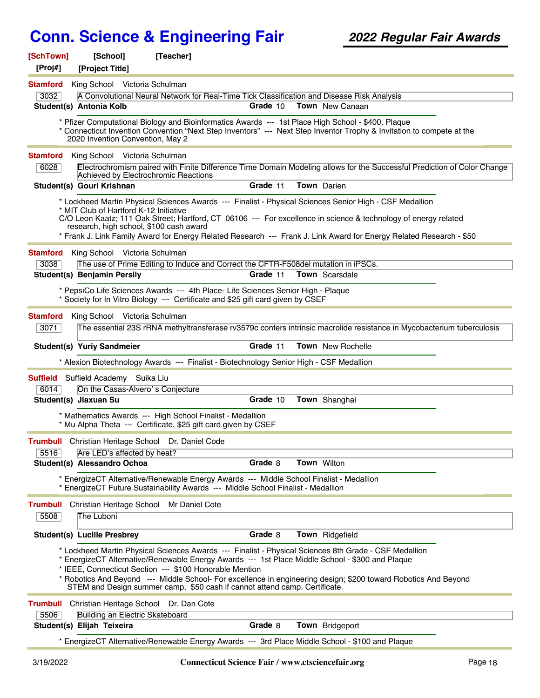| [SchTown]<br>[Proj#]    | [School]<br>[Project Title]                                                       | [Teacher]                                                                                                                                                                                                                                |          |                                                                                                                                                                                                                                                                                                                                                   |
|-------------------------|-----------------------------------------------------------------------------------|------------------------------------------------------------------------------------------------------------------------------------------------------------------------------------------------------------------------------------------|----------|---------------------------------------------------------------------------------------------------------------------------------------------------------------------------------------------------------------------------------------------------------------------------------------------------------------------------------------------------|
| <b>Stamford</b><br>3032 | King School Victoria Schulman                                                     | A Convolutional Neural Network for Real-Time Tick Classification and Disease Risk Analysis                                                                                                                                               |          |                                                                                                                                                                                                                                                                                                                                                   |
|                         | Student(s) Antonia Kolb                                                           |                                                                                                                                                                                                                                          | Grade 10 | <b>Town</b> New Canaan                                                                                                                                                                                                                                                                                                                            |
|                         | 2020 Invention Convention, May 2                                                  | * Pfizer Computational Biology and Bioinformatics Awards --- 1st Place High School - \$400, Plaque                                                                                                                                       |          | * Connecticut Invention Convention "Next Step Inventors" --- Next Step Inventor Trophy & Invitation to compete at the                                                                                                                                                                                                                             |
| <b>Stamford</b><br>6028 | King School Victoria Schulman<br>Achieved by Electrochromic Reactions             |                                                                                                                                                                                                                                          |          | Electrochromism paired with Finite Difference Time Domain Modeling allows for the Successful Prediction of Color Change                                                                                                                                                                                                                           |
|                         | Student(s) Gouri Krishnan                                                         |                                                                                                                                                                                                                                          | Grade 11 | Town Darien                                                                                                                                                                                                                                                                                                                                       |
|                         | * MIT Club of Hartford K-12 Initiative<br>research, high school, \$100 cash award |                                                                                                                                                                                                                                          |          | * Lockheed Martin Physical Sciences Awards --- Finalist - Physical Sciences Senior High - CSF Medallion<br>C/O Leon Kaatz; 111 Oak Street; Hartford, CT 06106 --- For excellence in science & technology of energy related<br>* Frank J. Link Family Award for Energy Related Research --- Frank J. Link Award for Energy Related Research - \$50 |
| <b>Stamford</b>         | King School Victoria Schulman                                                     |                                                                                                                                                                                                                                          |          |                                                                                                                                                                                                                                                                                                                                                   |
| 3038                    |                                                                                   | The use of Prime Editing to Induce and Correct the CFTR-F508del mutation in iPSCs.                                                                                                                                                       |          |                                                                                                                                                                                                                                                                                                                                                   |
|                         | Student(s) Benjamin Persily                                                       |                                                                                                                                                                                                                                          | Grade 11 | <b>Town</b> Scarsdale                                                                                                                                                                                                                                                                                                                             |
|                         |                                                                                   | * PepsiCo Life Sciences Awards --- 4th Place- Life Sciences Senior High - Plaque<br>* Society for In Vitro Biology --- Certificate and \$25 gift card given by CSEF                                                                      |          |                                                                                                                                                                                                                                                                                                                                                   |
| <b>Stamford</b><br>3071 | King School Victoria Schulman                                                     |                                                                                                                                                                                                                                          |          | The essential 23S rRNA methyltransferase rv3579c confers intrinsic macrolide resistance in Mycobacterium tuberculosis                                                                                                                                                                                                                             |
|                         | Student(s) Yuriy Sandmeier                                                        |                                                                                                                                                                                                                                          | Grade 11 | Town New Rochelle                                                                                                                                                                                                                                                                                                                                 |
|                         |                                                                                   | * Alexion Biotechnology Awards --- Finalist - Biotechnology Senior High - CSF Medallion                                                                                                                                                  |          |                                                                                                                                                                                                                                                                                                                                                   |
|                         | <b>Suffield</b> Suffield Academy Suika Liu                                        |                                                                                                                                                                                                                                          |          |                                                                                                                                                                                                                                                                                                                                                   |
| 6014                    | On the Casas-Alvero's Conjecture                                                  |                                                                                                                                                                                                                                          |          |                                                                                                                                                                                                                                                                                                                                                   |
|                         | Student(s) Jiaxuan Su                                                             |                                                                                                                                                                                                                                          | Grade 10 | Town Shanghai                                                                                                                                                                                                                                                                                                                                     |
|                         |                                                                                   | * Mathematics Awards --- High School Finalist - Medallion<br>* Mu Alpha Theta --- Certificate, \$25 gift card given by CSEF                                                                                                              |          |                                                                                                                                                                                                                                                                                                                                                   |
| 5516                    | Are LED's affected by heat?                                                       | Trumbull Christian Heritage School Dr. Daniel Code                                                                                                                                                                                       |          |                                                                                                                                                                                                                                                                                                                                                   |
|                         | <b>Student(s) Alessandro Ochoa</b>                                                |                                                                                                                                                                                                                                          | Grade 8  | Town Wilton                                                                                                                                                                                                                                                                                                                                       |
|                         |                                                                                   | * EnergizeCT Alternative/Renewable Energy Awards --- Middle School Finalist - Medallion<br>* EnergizeCT Future Sustainability Awards --- Middle School Finalist - Medallion                                                              |          |                                                                                                                                                                                                                                                                                                                                                   |
| Trumbull                | Christian Heritage School                                                         | Mr Daniel Cote                                                                                                                                                                                                                           |          |                                                                                                                                                                                                                                                                                                                                                   |
| 5508                    | The Luboni                                                                        |                                                                                                                                                                                                                                          |          |                                                                                                                                                                                                                                                                                                                                                   |
|                         | <b>Student(s) Lucille Presbrey</b>                                                |                                                                                                                                                                                                                                          | Grade 8  | Town Ridgefield                                                                                                                                                                                                                                                                                                                                   |
|                         |                                                                                   | * EnergizeCT Alternative/Renewable Energy Awards --- 1st Place Middle School - \$300 and Plaque<br>* IEEE, Connecticut Section --- \$100 Honorable Mention<br>STEM and Design summer camp, \$50 cash if cannot attend camp. Certificate. |          | * Lockheed Martin Physical Sciences Awards --- Finalist - Physical Sciences 8th Grade - CSF Medallion<br>* Robotics And Beyond --- Middle School- For excellence in engineering design; \$200 toward Robotics And Beyond                                                                                                                          |
| <b>Trumbull</b>         | Christian Heritage School                                                         | Dr. Dan Cote                                                                                                                                                                                                                             |          |                                                                                                                                                                                                                                                                                                                                                   |
| 5506                    | Building an Electric Skateboard                                                   |                                                                                                                                                                                                                                          |          |                                                                                                                                                                                                                                                                                                                                                   |
|                         | Student(s) Elijah Teixeira                                                        |                                                                                                                                                                                                                                          | Grade 8  | Town Bridgeport                                                                                                                                                                                                                                                                                                                                   |
|                         |                                                                                   | * EnergizeCT Alternative/Renewable Energy Awards --- 3rd Place Middle School - \$100 and Plaque                                                                                                                                          |          |                                                                                                                                                                                                                                                                                                                                                   |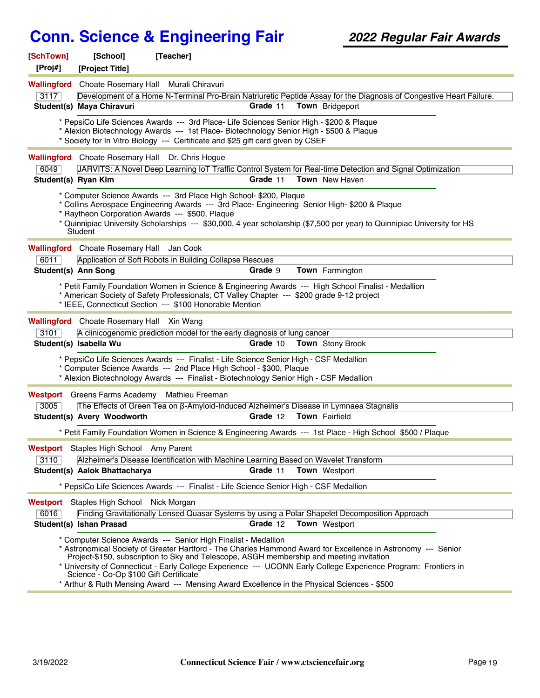| [SchTown]<br>[Proj#] | [School]<br>[Project Title]               | [Teacher]                                                                                                                                                                                                                                                |          |                                                                                                                                                                                                                                                                                                                              |  |
|----------------------|-------------------------------------------|----------------------------------------------------------------------------------------------------------------------------------------------------------------------------------------------------------------------------------------------------------|----------|------------------------------------------------------------------------------------------------------------------------------------------------------------------------------------------------------------------------------------------------------------------------------------------------------------------------------|--|
| Wallingford          |                                           | Choate Rosemary Hall Murali Chiravuri                                                                                                                                                                                                                    |          |                                                                                                                                                                                                                                                                                                                              |  |
| 3117                 |                                           |                                                                                                                                                                                                                                                          |          | Development of a Home N-Terminal Pro-Brain Natriuretic Peptide Assay for the Diagnosis of Congestive Heart Failure.                                                                                                                                                                                                          |  |
|                      | Student(s) Maya Chiravuri                 |                                                                                                                                                                                                                                                          | Grade 11 | Town Bridgeport                                                                                                                                                                                                                                                                                                              |  |
|                      |                                           | * Society for In Vitro Biology --- Certificate and \$25 gift card given by CSEF                                                                                                                                                                          |          | * PepsiCo Life Sciences Awards --- 3rd Place- Life Sciences Senior High - \$200 & Plaque<br>* Alexion Biotechnology Awards --- 1st Place- Biotechnology Senior High - \$500 & Plaque                                                                                                                                         |  |
|                      |                                           | Wallingford Choate Rosemary Hall Dr. Chris Hogue                                                                                                                                                                                                         |          |                                                                                                                                                                                                                                                                                                                              |  |
| 6049                 |                                           |                                                                                                                                                                                                                                                          |          | JARVITS: A Novel Deep Learning IoT Traffic Control System for Real-time Detection and Signal Optimization                                                                                                                                                                                                                    |  |
| Student(s) Ryan Kim  |                                           |                                                                                                                                                                                                                                                          | Grade 11 | <b>Town</b> New Haven                                                                                                                                                                                                                                                                                                        |  |
|                      | Student                                   | * Computer Science Awards --- 3rd Place High School- \$200, Plaque<br>* Raytheon Corporation Awards --- \$500, Plaque                                                                                                                                    |          | * Collins Aerospace Engineering Awards --- 3rd Place- Engineering Senior High- \$200 & Plaque<br>* Quinnipiac University Scholarships --- \$30,000, 4 year scholarship (\$7,500 per year) to Quinnipiac University for HS                                                                                                    |  |
|                      | Wallingford Choate Rosemary Hall Jan Cook |                                                                                                                                                                                                                                                          |          |                                                                                                                                                                                                                                                                                                                              |  |
| 6011                 |                                           | Application of Soft Robots in Building Collapse Rescues                                                                                                                                                                                                  |          |                                                                                                                                                                                                                                                                                                                              |  |
| Student(s) Ann Song  |                                           |                                                                                                                                                                                                                                                          | Grade 9  | Town Farmington                                                                                                                                                                                                                                                                                                              |  |
|                      |                                           | * IEEE, Connecticut Section --- \$100 Honorable Mention                                                                                                                                                                                                  |          | * Petit Family Foundation Women in Science & Engineering Awards --- High School Finalist - Medallion<br>* American Society of Safety Professionals, CT Valley Chapter --- \$200 grade 9-12 project                                                                                                                           |  |
|                      | Wallingford Choate Rosemary Hall Xin Wang |                                                                                                                                                                                                                                                          |          |                                                                                                                                                                                                                                                                                                                              |  |
| 3101                 |                                           | A clinicogenomic prediction model for the early diagnosis of lung cancer                                                                                                                                                                                 |          |                                                                                                                                                                                                                                                                                                                              |  |
|                      | Student(s) Isabella Wu                    |                                                                                                                                                                                                                                                          | Grade 10 | <b>Town</b> Stony Brook                                                                                                                                                                                                                                                                                                      |  |
|                      |                                           | * PepsiCo Life Sciences Awards --- Finalist - Life Science Senior High - CSF Medallion<br>* Computer Science Awards --- 2nd Place High School - \$300, Plaque<br>* Alexion Biotechnology Awards --- Finalist - Biotechnology Senior High - CSF Medallion |          |                                                                                                                                                                                                                                                                                                                              |  |
|                      |                                           | <b>Westport</b> Greens Farms Academy Mathieu Freeman                                                                                                                                                                                                     |          |                                                                                                                                                                                                                                                                                                                              |  |
| 3005                 |                                           |                                                                                                                                                                                                                                                          |          | The Effects of Green Tea on β-Amyloid-Induced Alzheimer's Disease in Lymnaea Stagnalis                                                                                                                                                                                                                                       |  |
|                      | Student(s) Avery Woodworth                |                                                                                                                                                                                                                                                          | Grade 12 | Town Fairfield                                                                                                                                                                                                                                                                                                               |  |
|                      |                                           |                                                                                                                                                                                                                                                          |          | * Petit Family Foundation Women in Science & Engineering Awards --- 1st Place - High School \$500 / Plaque                                                                                                                                                                                                                   |  |
|                      | Westport Staples High School Amy Parent   |                                                                                                                                                                                                                                                          |          |                                                                                                                                                                                                                                                                                                                              |  |
| 3110                 |                                           |                                                                                                                                                                                                                                                          |          | Alzheimer's Disease Identification with Machine Learning Based on Wavelet Transform                                                                                                                                                                                                                                          |  |
|                      | Student(s) Aalok Bhattacharya             |                                                                                                                                                                                                                                                          | Grade 11 | <b>Town</b> Westport                                                                                                                                                                                                                                                                                                         |  |
|                      |                                           | * PepsiCo Life Sciences Awards --- Finalist - Life Science Senior High - CSF Medallion                                                                                                                                                                   |          |                                                                                                                                                                                                                                                                                                                              |  |
| Westport             | Staples High School Nick Morgan           |                                                                                                                                                                                                                                                          |          |                                                                                                                                                                                                                                                                                                                              |  |
| 6016                 |                                           |                                                                                                                                                                                                                                                          |          | Finding Gravitationally Lensed Quasar Systems by using a Polar Shapelet Decomposition Approach                                                                                                                                                                                                                               |  |
|                      | Student(s) Ishan Prasad                   |                                                                                                                                                                                                                                                          | Grade 12 | <b>Town</b> Westport                                                                                                                                                                                                                                                                                                         |  |
|                      | Science - Co-Op \$100 Gift Certificate    | * Computer Science Awards --- Senior High Finalist - Medallion                                                                                                                                                                                           |          | * Astronomical Society of Greater Hartford - The Charles Hammond Award for Excellence in Astronomy --- Senior<br>Project-\$150, subscription to Sky and Telescope, ASGH membership and meeting invitation<br>* University of Connecticut - Early College Experience --- UCONN Early College Experience Program: Frontiers in |  |
|                      |                                           |                                                                                                                                                                                                                                                          |          | * Arthur & Ruth Mensing Award --- Mensing Award Excellence in the Physical Sciences - \$500                                                                                                                                                                                                                                  |  |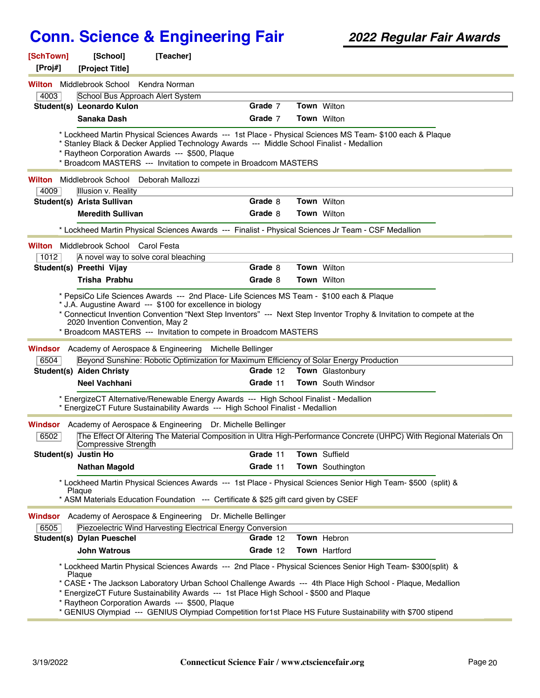| [SchTown]<br>[Proj#] | [School]<br>[Project Title]     | [Teacher]                                                                                                                                                                                                               |                        |                                                                                                                                                                                                                                                                                                                                            |
|----------------------|---------------------------------|-------------------------------------------------------------------------------------------------------------------------------------------------------------------------------------------------------------------------|------------------------|--------------------------------------------------------------------------------------------------------------------------------------------------------------------------------------------------------------------------------------------------------------------------------------------------------------------------------------------|
| Wilton               | Middlebrook School              | Kendra Norman                                                                                                                                                                                                           |                        |                                                                                                                                                                                                                                                                                                                                            |
| 4003                 |                                 | School Bus Approach Alert System                                                                                                                                                                                        |                        |                                                                                                                                                                                                                                                                                                                                            |
|                      | Student(s) Leonardo Kulon       |                                                                                                                                                                                                                         | Grade 7                | Town Wilton                                                                                                                                                                                                                                                                                                                                |
|                      | Sanaka Dash                     |                                                                                                                                                                                                                         | Grade 7                | <b>Town</b> Wilton                                                                                                                                                                                                                                                                                                                         |
|                      |                                 | * Stanley Black & Decker Applied Technology Awards --- Middle School Finalist - Medallion<br>* Raytheon Corporation Awards --- \$500, Plaque<br>* Broadcom MASTERS --- Invitation to compete in Broadcom MASTERS        |                        | * Lockheed Martin Physical Sciences Awards --- 1st Place - Physical Sciences MS Team- \$100 each & Plaque                                                                                                                                                                                                                                  |
| Wilton               | Middlebrook School              | Deborah Mallozzi                                                                                                                                                                                                        |                        |                                                                                                                                                                                                                                                                                                                                            |
| 4009                 | Illusion v. Reality             |                                                                                                                                                                                                                         |                        |                                                                                                                                                                                                                                                                                                                                            |
|                      | Student(s) Arista Sullivan      |                                                                                                                                                                                                                         | Grade 8                | Town Wilton                                                                                                                                                                                                                                                                                                                                |
|                      | <b>Meredith Sullivan</b>        |                                                                                                                                                                                                                         | Grade 8                | <b>Town</b> Wilton                                                                                                                                                                                                                                                                                                                         |
|                      |                                 | * Lockheed Martin Physical Sciences Awards --- Finalist - Physical Sciences Jr Team - CSF Medallion                                                                                                                     |                        |                                                                                                                                                                                                                                                                                                                                            |
| <b>Wilton</b>        | Middlebrook School Carol Festa  |                                                                                                                                                                                                                         |                        |                                                                                                                                                                                                                                                                                                                                            |
| 1012                 |                                 | A novel way to solve coral bleaching                                                                                                                                                                                    |                        |                                                                                                                                                                                                                                                                                                                                            |
|                      | Student(s) Preethi Vijay        |                                                                                                                                                                                                                         | Grade 8                | <b>Town Wilton</b>                                                                                                                                                                                                                                                                                                                         |
|                      | <b>Trisha Prabhu</b>            |                                                                                                                                                                                                                         | Grade 8                | <b>Town Wilton</b>                                                                                                                                                                                                                                                                                                                         |
| Windsor<br>6504      | <b>Student(s) Aiden Christy</b> | * Broadcom MASTERS --- Invitation to compete in Broadcom MASTERS<br>Academy of Aerospace & Engineering<br>Michelle Bellinger<br>Beyond Sunshine: Robotic Optimization for Maximum Efficiency of Solar Energy Production | Grade 12               | Town Glastonbury                                                                                                                                                                                                                                                                                                                           |
|                      | <b>Neel Vachhani</b>            |                                                                                                                                                                                                                         | Grade 11               | <b>Town</b> South Windsor                                                                                                                                                                                                                                                                                                                  |
|                      |                                 | * EnergizeCT Alternative/Renewable Energy Awards --- High School Finalist - Medallion<br>* EnergizeCT Future Sustainability Awards --- High School Finalist - Medallion                                                 |                        |                                                                                                                                                                                                                                                                                                                                            |
| Windsor<br>6502      | Compressive Strength            | Academy of Aerospace & Engineering                                                                                                                                                                                      | Dr. Michelle Bellinger | The Effect Of Altering The Material Composition in Ultra High-Performance Concrete (UHPC) With Regional Materials On                                                                                                                                                                                                                       |
| Student(s) Justin Ho |                                 |                                                                                                                                                                                                                         | Grade 11               | Town Suffield                                                                                                                                                                                                                                                                                                                              |
|                      | <b>Nathan Magold</b>            |                                                                                                                                                                                                                         | Grade 11               | Town Southington                                                                                                                                                                                                                                                                                                                           |
|                      | Plaque                          | * ASM Materials Education Foundation --- Certificate & \$25 gift card given by CSEF                                                                                                                                     |                        | * Lockheed Martin Physical Sciences Awards --- 1st Place - Physical Sciences Senior High Team- \$500 (split) &                                                                                                                                                                                                                             |
| Windsor<br>6505      |                                 | Academy of Aerospace & Engineering Dr. Michelle Bellinger<br>Piezoelectric Wind Harvesting Electrical Energy Conversion                                                                                                 |                        |                                                                                                                                                                                                                                                                                                                                            |
|                      | Student(s) Dylan Pueschel       |                                                                                                                                                                                                                         | Grade 12               | Town Hebron                                                                                                                                                                                                                                                                                                                                |
|                      | <b>John Watrous</b>             |                                                                                                                                                                                                                         | Grade 12               | <b>Town</b> Hartford                                                                                                                                                                                                                                                                                                                       |
|                      | Plaque                          | * EnergizeCT Future Sustainability Awards --- 1st Place High School - \$500 and Plaque<br>* Raytheon Corporation Awards --- \$500, Plaque                                                                               |                        | * Lockheed Martin Physical Sciences Awards --- 2nd Place - Physical Sciences Senior High Team- \$300(split) &<br>* CASE • The Jackson Laboratory Urban School Challenge Awards --- 4th Place High School - Plaque, Medallion<br>* GENIUS Olympiad --- GENIUS Olympiad Competition for1st Place HS Future Sustainability with \$700 stipend |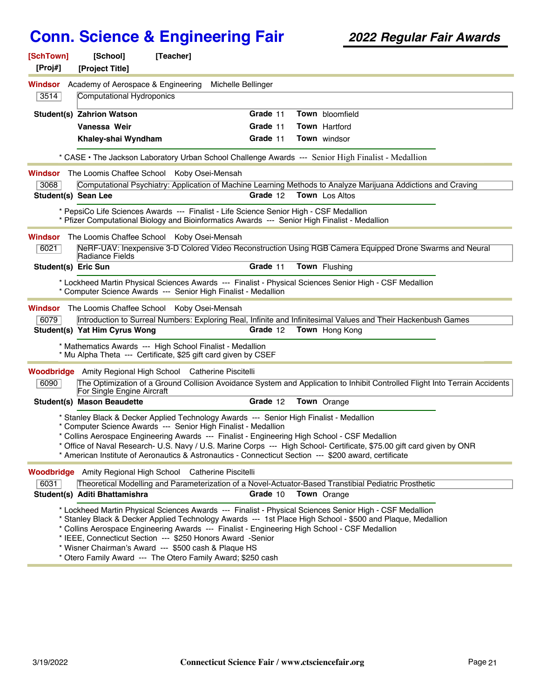| [SchTown]<br>[Proj#] | [School]<br>[Project Title]                                     | [Teacher]                                                                                                                                                                                                                                                                                                                                                           |          |                                                                                                                                                                                                                       |  |
|----------------------|-----------------------------------------------------------------|---------------------------------------------------------------------------------------------------------------------------------------------------------------------------------------------------------------------------------------------------------------------------------------------------------------------------------------------------------------------|----------|-----------------------------------------------------------------------------------------------------------------------------------------------------------------------------------------------------------------------|--|
| Windsor<br>3514      | Academy of Aerospace & Engineering<br>Computational Hydroponics | Michelle Bellinger                                                                                                                                                                                                                                                                                                                                                  |          |                                                                                                                                                                                                                       |  |
|                      | Student(s) Zahrion Watson                                       |                                                                                                                                                                                                                                                                                                                                                                     | Grade 11 | Town bloomfield                                                                                                                                                                                                       |  |
|                      | Vanessa Weir                                                    |                                                                                                                                                                                                                                                                                                                                                                     | Grade 11 | <b>Town</b> Hartford                                                                                                                                                                                                  |  |
|                      | Khaley-shai Wyndham                                             |                                                                                                                                                                                                                                                                                                                                                                     | Grade 11 | Town windsor                                                                                                                                                                                                          |  |
|                      |                                                                 |                                                                                                                                                                                                                                                                                                                                                                     |          | * CASE • The Jackson Laboratory Urban School Challenge Awards --- Senior High Finalist - Medallion                                                                                                                    |  |
| Windsor              |                                                                 | The Loomis Chaffee School Koby Osei-Mensah                                                                                                                                                                                                                                                                                                                          |          |                                                                                                                                                                                                                       |  |
| 3068                 |                                                                 |                                                                                                                                                                                                                                                                                                                                                                     |          | Computational Psychiatry: Application of Machine Learning Methods to Analyze Marijuana Addictions and Craving                                                                                                         |  |
| Student(s) Sean Lee  |                                                                 |                                                                                                                                                                                                                                                                                                                                                                     | Grade 12 | <b>Town</b> Los Altos                                                                                                                                                                                                 |  |
|                      |                                                                 | * PepsiCo Life Sciences Awards --- Finalist - Life Science Senior High - CSF Medallion<br>* Pfizer Computational Biology and Bioinformatics Awards --- Senior High Finalist - Medallion                                                                                                                                                                             |          |                                                                                                                                                                                                                       |  |
| Windsor              |                                                                 | The Loomis Chaffee School Koby Osei-Mensah                                                                                                                                                                                                                                                                                                                          |          |                                                                                                                                                                                                                       |  |
| 6021                 | Radiance Fields                                                 |                                                                                                                                                                                                                                                                                                                                                                     |          | NeRF-UAV: Inexpensive 3-D Colored Video Reconstruction Using RGB Camera Equipped Drone Swarms and Neural                                                                                                              |  |
| Student(s) Eric Sun  |                                                                 |                                                                                                                                                                                                                                                                                                                                                                     | Grade 11 | Town Flushing                                                                                                                                                                                                         |  |
|                      |                                                                 | * Computer Science Awards --- Senior High Finalist - Medallion                                                                                                                                                                                                                                                                                                      |          | * Lockheed Martin Physical Sciences Awards --- Finalist - Physical Sciences Senior High - CSF Medallion                                                                                                               |  |
| Windsor              |                                                                 | The Loomis Chaffee School Koby Osei-Mensah                                                                                                                                                                                                                                                                                                                          |          |                                                                                                                                                                                                                       |  |
| 6079                 |                                                                 |                                                                                                                                                                                                                                                                                                                                                                     |          | Introduction to Surreal Numbers: Exploring Real, Infinite and Infinitesimal Values and Their Hackenbush Games                                                                                                         |  |
|                      | Student(s) Yat Him Cyrus Wong                                   |                                                                                                                                                                                                                                                                                                                                                                     | Grade 12 | <b>Town</b> Hong Kong                                                                                                                                                                                                 |  |
|                      |                                                                 | * Mathematics Awards --- High School Finalist - Medallion<br>* Mu Alpha Theta --- Certificate, \$25 gift card given by CSEF                                                                                                                                                                                                                                         |          |                                                                                                                                                                                                                       |  |
|                      |                                                                 | <b>Woodbridge</b> Amity Regional High School Catherine Piscitelli                                                                                                                                                                                                                                                                                                   |          |                                                                                                                                                                                                                       |  |
| 6090                 | For Single Engine Aircraft                                      |                                                                                                                                                                                                                                                                                                                                                                     |          | The Optimization of a Ground Collision Avoidance System and Application to Inhibit Controlled Flight Into Terrain Accidents                                                                                           |  |
|                      | <b>Student(s) Mason Beaudette</b>                               |                                                                                                                                                                                                                                                                                                                                                                     | Grade 12 | <b>Town</b> Orange                                                                                                                                                                                                    |  |
|                      |                                                                 | * Stanley Black & Decker Applied Technology Awards --- Senior High Finalist - Medallion<br>* Computer Science Awards --- Senior High Finalist - Medallion<br>* Collins Aerospace Engineering Awards --- Finalist - Engineering High School - CSF Medallion<br>* American Institute of Aeronautics & Astronautics - Connecticut Section --- \$200 award, certificate |          | * Office of Naval Research- U.S. Navy / U.S. Marine Corps --- High School- Certificate, \$75.00 gift card given by ONR                                                                                                |  |
|                      |                                                                 | <b>Woodbridge</b> Amity Regional High School Catherine Piscitelli                                                                                                                                                                                                                                                                                                   |          |                                                                                                                                                                                                                       |  |
| 6031                 |                                                                 |                                                                                                                                                                                                                                                                                                                                                                     |          | Theoretical Modelling and Parameterization of a Novel-Actuator-Based Transtibial Pediatric Prosthetic                                                                                                                 |  |
|                      | Student(s) Aditi Bhattamishra                                   |                                                                                                                                                                                                                                                                                                                                                                     | Grade 10 | <b>Town</b> Orange                                                                                                                                                                                                    |  |
|                      |                                                                 | * Collins Aerospace Engineering Awards --- Finalist - Engineering High School - CSF Medallion<br>* IEEE, Connecticut Section --- \$250 Honors Award -Senior<br>* Wisner Chairman's Award --- \$500 cash & Plaque HS<br>* Otero Family Award --- The Otero Family Award; \$250 cash                                                                                  |          | * Lockheed Martin Physical Sciences Awards --- Finalist - Physical Sciences Senior High - CSF Medallion<br>* Stanley Black & Decker Applied Technology Awards --- 1st Place High School - \$500 and Plaque, Medallion |  |
|                      |                                                                 |                                                                                                                                                                                                                                                                                                                                                                     |          |                                                                                                                                                                                                                       |  |